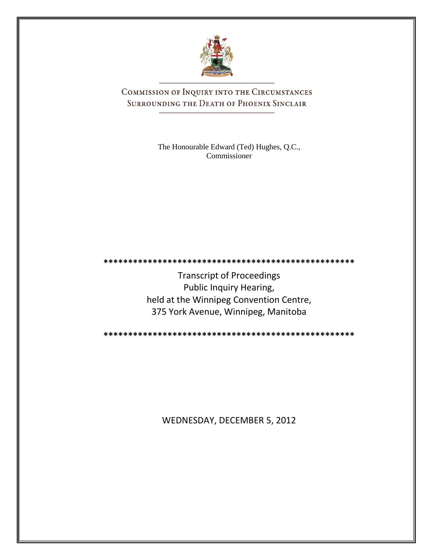

COMMISSION OF INQUIRY INTO THE CIRCUMSTANCES SURROUNDING THE DEATH OF PHOENIX SINCLAIR

> The Honourable Edward (Ted) Hughes, Q.C., Commissioner

Transcript of Proceedings Public Inquiry Hearing, held at the Winnipeg Convention Centre, 375 York Avenue, Winnipeg, Manitoba

**\*\*\*\*\*\*\*\*\*\*\*\*\*\*\*\*\*\*\*\*\*\*\*\*\*\*\*\*\*\*\*\*\*\*\*\*\*\*\*\*\*\*\*\*\*\*\*\*\*\*\***

**\*\*\*\*\*\*\*\*\*\*\*\*\*\*\*\*\*\*\*\*\*\*\*\*\*\*\*\*\*\*\*\*\*\*\*\*\*\*\*\*\*\*\*\*\*\*\*\*\*\*\***

WEDNESDAY, DECEMBER 5, 2012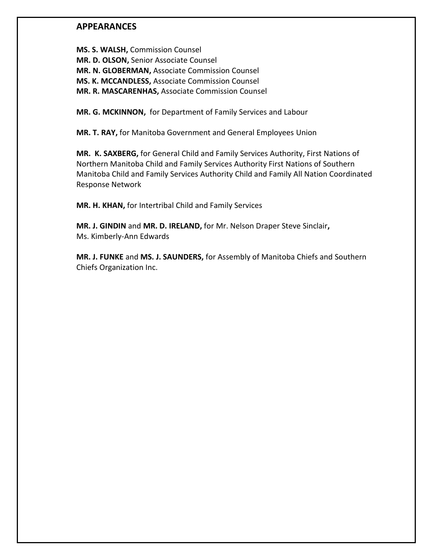## **APPEARANCES**

**MS. S. WALSH,** Commission Counsel **MR. D. OLSON,** Senior Associate Counsel **MR. N. GLOBERMAN,** Associate Commission Counsel **MS. K. MCCANDLESS,** Associate Commission Counsel **MR. R. MASCARENHAS,** Associate Commission Counsel

**MR. G. MCKINNON,** for Department of Family Services and Labour

**MR. T. RAY,** for Manitoba Government and General Employees Union

**MR. K. SAXBERG,** for General Child and Family Services Authority, First Nations of Northern Manitoba Child and Family Services Authority First Nations of Southern Manitoba Child and Family Services Authority Child and Family All Nation Coordinated Response Network

**MR. H. KHAN,** for Intertribal Child and Family Services

**MR. J. GINDIN** and **MR. D. IRELAND,** for Mr. Nelson Draper Steve Sinclair**,** Ms. Kimberly-Ann Edwards

**MR. J. FUNKE** and **MS. J. SAUNDERS,** for Assembly of Manitoba Chiefs and Southern Chiefs Organization Inc.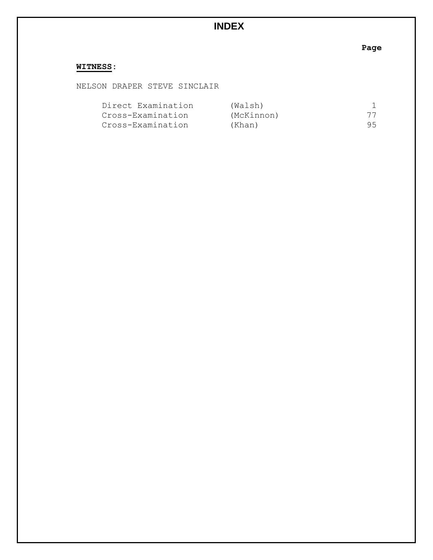# **INDEX**

**Page**

## **WITNESS:**

NELSON DRAPER STEVE SINCLAIR

| Direct Examination | (Walsh)    |    |
|--------------------|------------|----|
| Cross-Examination  | (McKinnon) | 77 |
| Cross-Examination  | (Khan)     | 95 |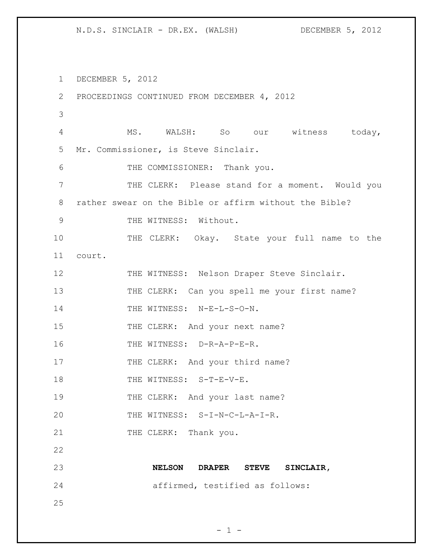1 DECEMBER 5, 2012 2 PROCEEDINGS CONTINUED FROM DECEMBER 4, 2012 3 4 MS. WALSH: So our witness today, 5 Mr. Commissioner, is Steve Sinclair. 6 THE COMMISSIONER: Thank you. 7 THE CLERK: Please stand for a moment. Would you 8 rather swear on the Bible or affirm without the Bible? 9 THE WITNESS: Without. 10 THE CLERK: Okay. State your full name to the 11 court. 12 THE WITNESS: Nelson Draper Steve Sinclair. 13 THE CLERK: Can you spell me your first name? 14 THE WITNESS: N-E-L-S-O-N. 15 THE CLERK: And your next name? 16 THE WITNESS: D-R-A-P-E-R. 17 THE CLERK: And your third name? 18 THE WITNESS: S-T-E-V-E. 19 THE CLERK: And your last name? 20 THE WITNESS: S-I-N-C-L-A-I-R. 21 THE CLERK: Thank you. 22 23 **NELSON DRAPER STEVE SINCLAIR,**  24 affirmed, testified as follows: 25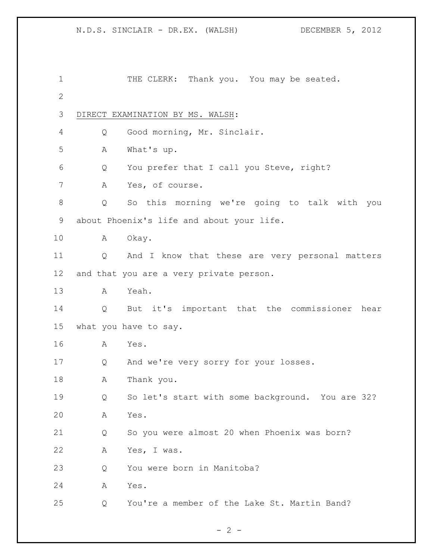| 1  |                       | THE CLERK: Thank you. You may be seated.         |  |
|----|-----------------------|--------------------------------------------------|--|
| 2  |                       |                                                  |  |
| 3  |                       | DIRECT EXAMINATION BY MS. WALSH:                 |  |
| 4  | Q                     | Good morning, Mr. Sinclair.                      |  |
| 5  | Α                     | What's up.                                       |  |
| 6  | Q                     | You prefer that I call you Steve, right?         |  |
| 7  | A                     | Yes, of course.                                  |  |
| 8  | Q                     | So this morning we're going to talk with you     |  |
| 9  |                       | about Phoenix's life and about your life.        |  |
| 10 | A                     | Okay.                                            |  |
| 11 | $\overline{Q}$        | And I know that these are very personal matters  |  |
| 12 |                       | and that you are a very private person.          |  |
| 13 | A                     | Yeah.                                            |  |
| 14 | Q                     | But it's important that the commissioner hear    |  |
| 15 | what you have to say. |                                                  |  |
| 16 | A                     | Yes.                                             |  |
| 17 | Q                     | And we're very sorry for your losses.            |  |
| 18 | Α                     | Thank you.                                       |  |
| 19 | Q                     | So let's start with some background. You are 32? |  |
| 20 | Α                     | Yes.                                             |  |
| 21 | Q                     | So you were almost 20 when Phoenix was born?     |  |
| 22 | Α                     | Yes, I was.                                      |  |
| 23 | Q                     | You were born in Manitoba?                       |  |
| 24 | Α                     | Yes.                                             |  |
| 25 | Q                     | You're a member of the Lake St. Martin Band?     |  |

 $- 2 -$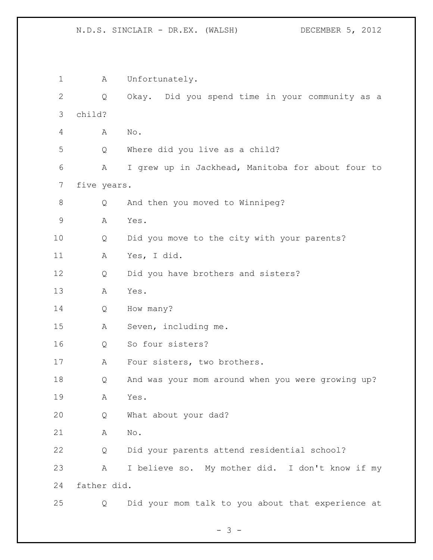1 A Unfortunately. Q Okay. Did you spend time in your community as a child? A No. Q Where did you live as a child? A I grew up in Jackhead, Manitoba for about four to five years. Q And then you moved to Winnipeg? A Yes. Q Did you move to the city with your parents? A Yes, I did. Q Did you have brothers and sisters? A Yes. Q How many? A Seven, including me. Q So four sisters? 17 A Four sisters, two brothers. Q And was your mom around when you were growing up? A Yes. Q What about your dad? A No. Q Did your parents attend residential school? A I believe so. My mother did. I don't know if my father did. Q Did your mom talk to you about that experience at

- 3 -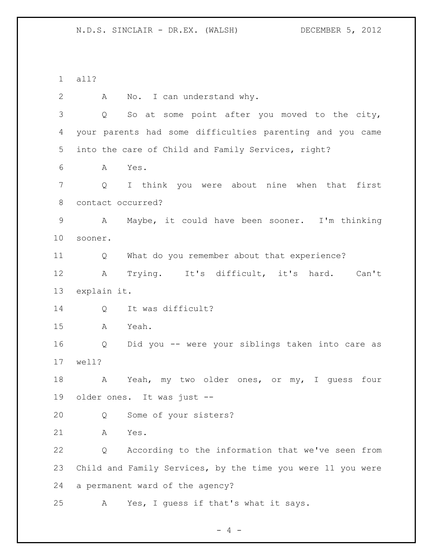all?

 A No. I can understand why. Q So at some point after you moved to the city, your parents had some difficulties parenting and you came into the care of Child and Family Services, right? A Yes. Q I think you were about nine when that first contact occurred? A Maybe, it could have been sooner. I'm thinking sooner. Q What do you remember about that experience? A Trying. It's difficult, it's hard. Can't explain it. 14 Q It was difficult? A Yeah. Q Did you -- were your siblings taken into care as well? 18 A Yeah, my two older ones, or my, I guess four older ones. It was just -- Q Some of your sisters? A Yes. Q According to the information that we've seen from Child and Family Services, by the time you were 11 you were a permanent ward of the agency? A Yes, I guess if that's what it says.

 $- 4 -$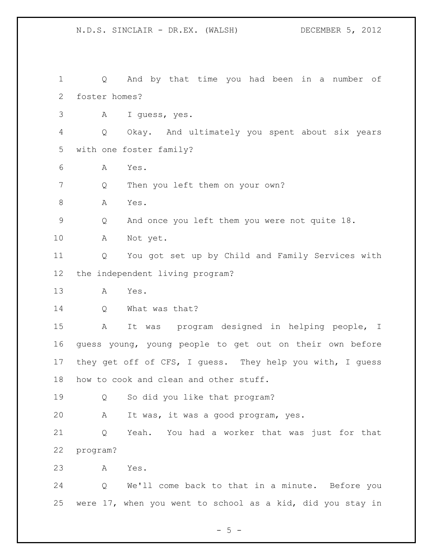Q And by that time you had been in a number of foster homes? A I guess, yes. Q Okay. And ultimately you spent about six years with one foster family? A Yes. Q Then you left them on your own? 8 A Yes. Q And once you left them you were not quite 18. A Not yet. Q You got set up by Child and Family Services with the independent living program? A Yes. 14 Q What was that? A It was program designed in helping people, I guess young, young people to get out on their own before they get off of CFS, I guess. They help you with, I guess how to cook and clean and other stuff. Q So did you like that program? A It was, it was a good program, yes. Q Yeah. You had a worker that was just for that program? A Yes. Q We'll come back to that in a minute. Before you were 17, when you went to school as a kid, did you stay in

 $- 5 -$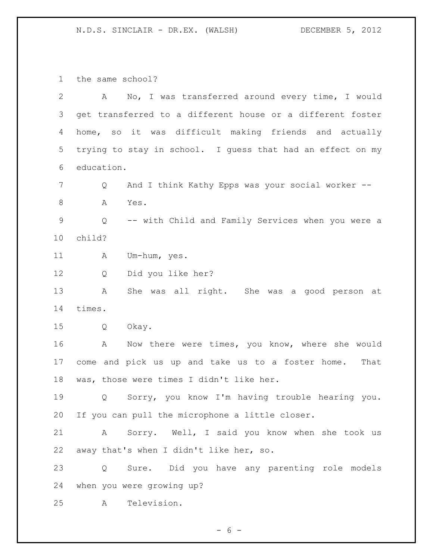the same school?

| $\overline{2}$ | A          | No, I was transferred around every time, I would           |
|----------------|------------|------------------------------------------------------------|
| 3              |            | get transferred to a different house or a different foster |
| 4              |            | home, so it was difficult making friends and actually      |
| 5              |            | trying to stay in school. I guess that had an effect on my |
| 6              | education. |                                                            |
| 7              | Q          | And I think Kathy Epps was your social worker --           |
| 8              | Α<br>Yes.  |                                                            |
| $\mathsf 9$    | Q          | -- with Child and Family Services when you were a          |
| 10             | child?     |                                                            |
| 11             | А          | Um-hum, yes.                                               |
| 12             | Q          | Did you like her?                                          |
| 13             | A          | She was all right. She was a good person at                |
| 14             | times.     |                                                            |
| 15             | Q<br>Okay. |                                                            |
| 16             | A          | Now there were times, you know, where she would            |
| 17             |            | come and pick us up and take us to a foster home. That     |
| 18             |            | was, those were times I didn't like her.                   |
| 19             | Q          | Sorry, you know I'm having trouble hearing you.            |
| 20             |            | If you can pull the microphone a little closer.            |
| 21             | A          | Sorry. Well, I said you know when she took us              |
| 22             |            | away that's when I didn't like her, so.                    |
| 23             | Q          | Sure. Did you have any parenting role models               |
| 24             |            | when you were growing up?                                  |
| 25             | A          | Television.                                                |

- 6 -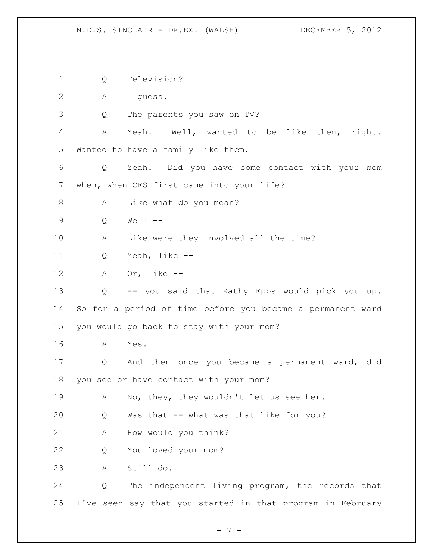Q Television? A I guess. Q The parents you saw on TV? A Yeah. Well, wanted to be like them, right. Wanted to have a family like them. Q Yeah. Did you have some contact with your mom when, when CFS first came into your life? 8 A Like what do you mean? Q Well -- A Like were they involved all the time? Q Yeah, like -- A Or, like -- Q -- you said that Kathy Epps would pick you up. So for a period of time before you became a permanent ward you would go back to stay with your mom? A Yes. Q And then once you became a permanent ward, did you see or have contact with your mom? A No, they, they wouldn't let us see her. Q Was that -- what was that like for you? A How would you think? Q You loved your mom? A Still do. Q The independent living program, the records that I've seen say that you started in that program in February

- 7 -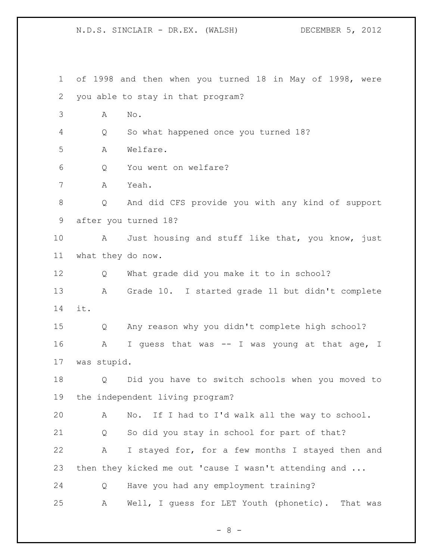N.D.S. SINCLAIR - DR.EX. (WALSH) DECEMBER 5, 2012 of 1998 and then when you turned 18 in May of 1998, were you able to stay in that program? A No. Q So what happened once you turned 18? A Welfare. Q You went on welfare? A Yeah. Q And did CFS provide you with any kind of support after you turned 18? A Just housing and stuff like that, you know, just what they do now. Q What grade did you make it to in school? A Grade 10. I started grade 11 but didn't complete it. Q Any reason why you didn't complete high school? 16 A I guess that was -- I was young at that age, I was stupid. Q Did you have to switch schools when you moved to

 A No. If I had to I'd walk all the way to school. Q So did you stay in school for part of that? A I stayed for, for a few months I stayed then and 23 then they kicked me out 'cause I wasn't attending and ... Q Have you had any employment training?

the independent living program?

A Well, I guess for LET Youth (phonetic). That was

- 8 -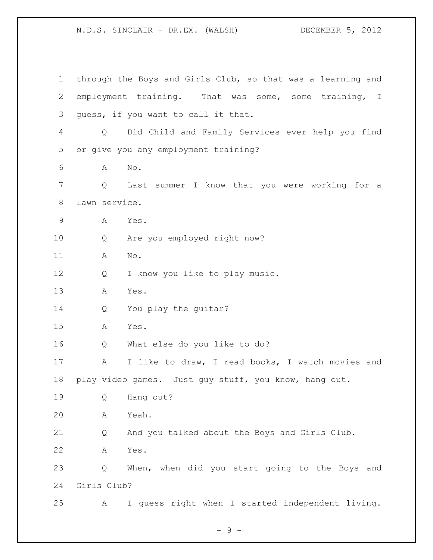through the Boys and Girls Club, so that was a learning and employment training. That was some, some training, I guess, if you want to call it that. Q Did Child and Family Services ever help you find or give you any employment training? A No. Q Last summer I know that you were working for a lawn service. A Yes. Q Are you employed right now? A No. 12 Q I know you like to play music. A Yes. Q You play the guitar? A Yes. Q What else do you like to do? A I like to draw, I read books, I watch movies and play video games. Just guy stuff, you know, hang out. Q Hang out? A Yeah. Q And you talked about the Boys and Girls Club. A Yes. Q When, when did you start going to the Boys and Girls Club? A I guess right when I started independent living.

- 9 -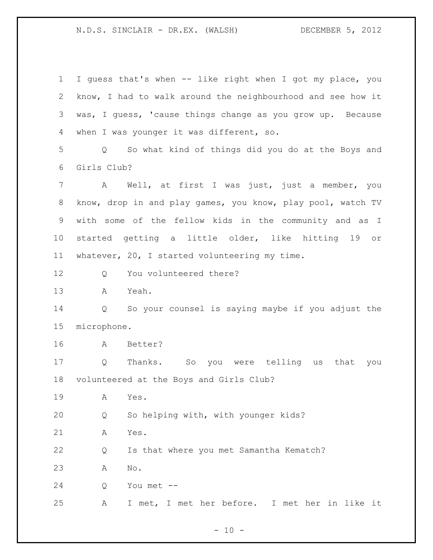I guess that's when -- like right when I got my place, you know, I had to walk around the neighbourhood and see how it was, I guess, 'cause things change as you grow up. Because when I was younger it was different, so. Q So what kind of things did you do at the Boys and Girls Club? A Well, at first I was just, just a member, you know, drop in and play games, you know, play pool, watch TV with some of the fellow kids in the community and as I started getting a little older, like hitting 19 or whatever, 20, I started volunteering my time. Q You volunteered there? A Yeah. Q So your counsel is saying maybe if you adjust the microphone. A Better? Q Thanks. So you were telling us that you volunteered at the Boys and Girls Club? A Yes. Q So helping with, with younger kids? A Yes. Q Is that where you met Samantha Kematch? A No. Q You met -- A I met, I met her before. I met her in like it

 $- 10 -$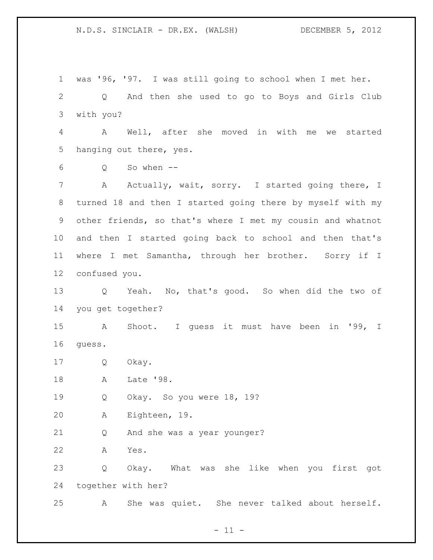was '96, '97. I was still going to school when I met her. Q And then she used to go to Boys and Girls Club with you? A Well, after she moved in with me we started hanging out there, yes. Q So when -- 7 A Actually, wait, sorry. I started going there, I turned 18 and then I started going there by myself with my other friends, so that's where I met my cousin and whatnot and then I started going back to school and then that's where I met Samantha, through her brother. Sorry if I confused you. Q Yeah. No, that's good. So when did the two of you get together? A Shoot. I guess it must have been in '99, I guess. Q Okay. A Late '98. Q Okay. So you were 18, 19? A Eighteen, 19. Q And she was a year younger? A Yes. Q Okay. What was she like when you first got together with her? A She was quiet. She never talked about herself.

 $- 11 -$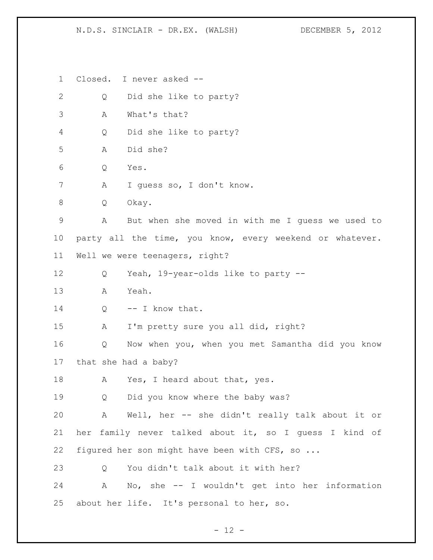Closed. I never asked -- Q Did she like to party? A What's that? Q Did she like to party? A Did she? Q Yes. A I guess so, I don't know. Q Okay. A But when she moved in with me I guess we used to party all the time, you know, every weekend or whatever. Well we were teenagers, right? Q Yeah, 19-year-olds like to party -- A Yeah. 14 Q -- I know that. A I'm pretty sure you all did, right? Q Now when you, when you met Samantha did you know that she had a baby? 18 A Yes, I heard about that, yes. Q Did you know where the baby was? A Well, her -- she didn't really talk about it or her family never talked about it, so I guess I kind of figured her son might have been with CFS, so ... 23 O You didn't talk about it with her? A No, she -- I wouldn't get into her information about her life. It's personal to her, so.

 $- 12 -$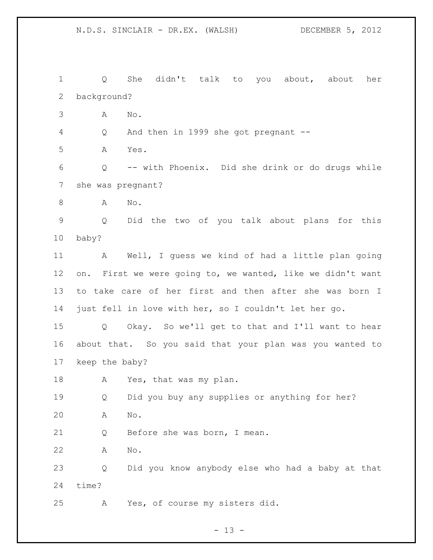Q She didn't talk to you about, about her background? A No. Q And then in 1999 she got pregnant -- A Yes. Q -- with Phoenix. Did she drink or do drugs while she was pregnant? 8 A No. Q Did the two of you talk about plans for this baby? A Well, I guess we kind of had a little plan going on. First we were going to, we wanted, like we didn't want to take care of her first and then after she was born I just fell in love with her, so I couldn't let her go. Q Okay. So we'll get to that and I'll want to hear about that. So you said that your plan was you wanted to keep the baby? 18 A Yes, that was my plan. Q Did you buy any supplies or anything for her? A No. Q Before she was born, I mean. A No. Q Did you know anybody else who had a baby at that time? A Yes, of course my sisters did.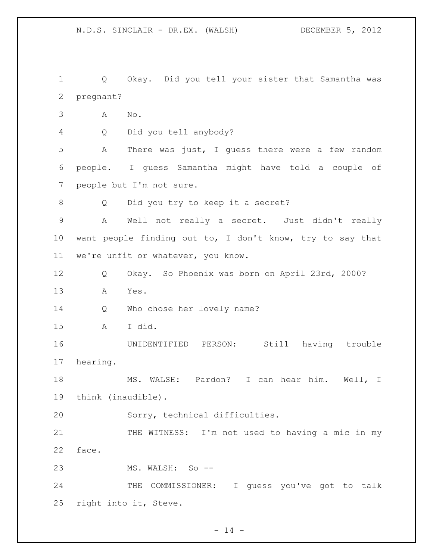Q Okay. Did you tell your sister that Samantha was pregnant? A No. Q Did you tell anybody? A There was just, I guess there were a few random people. I guess Samantha might have told a couple of people but I'm not sure. Q Did you try to keep it a secret? A Well not really a secret. Just didn't really want people finding out to, I don't know, try to say that we're unfit or whatever, you know. Q Okay. So Phoenix was born on April 23rd, 2000? A Yes. Q Who chose her lovely name? A I did. UNIDENTIFIED PERSON: Still having trouble hearing. MS. WALSH: Pardon? I can hear him. Well, I think (inaudible). Sorry, technical difficulties. 21 THE WITNESS: I'm not used to having a mic in my face. MS. WALSH: So -- THE COMMISSIONER: I guess you've got to talk right into it, Steve.

 $- 14 -$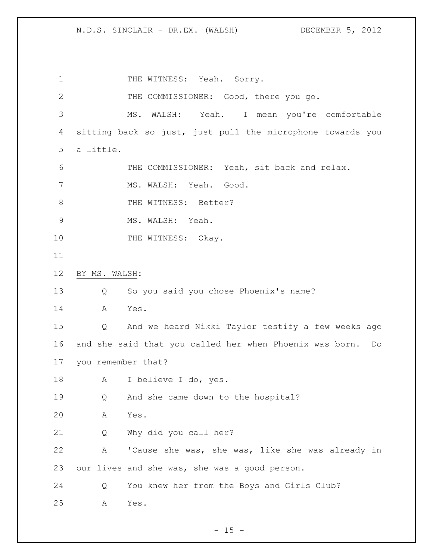1 THE WITNESS: Yeah. Sorry. THE COMMISSIONER: Good, there you go. MS. WALSH: Yeah. I mean you're comfortable sitting back so just, just pull the microphone towards you a little. THE COMMISSIONER: Yeah, sit back and relax. 7 MS. WALSH: Yeah. Good. 8 THE WITNESS: Better? MS. WALSH: Yeah. 10 THE WITNESS: Okay. BY MS. WALSH: Q So you said you chose Phoenix's name? A Yes. Q And we heard Nikki Taylor testify a few weeks ago and she said that you called her when Phoenix was born. Do you remember that? A I believe I do, yes. Q And she came down to the hospital? A Yes. Q Why did you call her? A 'Cause she was, she was, like she was already in our lives and she was, she was a good person. Q You knew her from the Boys and Girls Club? A Yes.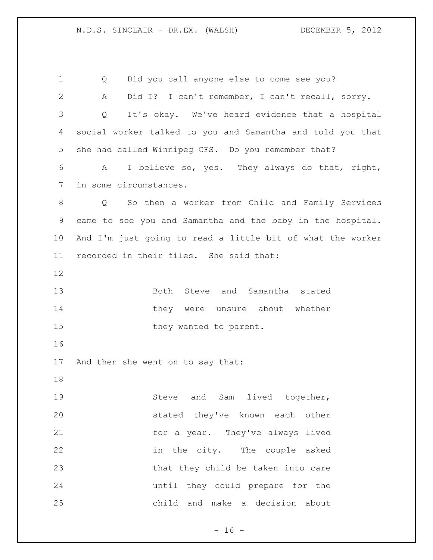Q Did you call anyone else to come see you? A Did I? I can't remember, I can't recall, sorry. Q It's okay. We've heard evidence that a hospital social worker talked to you and Samantha and told you that she had called Winnipeg CFS. Do you remember that? A I believe so, yes. They always do that, right, in some circumstances. Q So then a worker from Child and Family Services came to see you and Samantha and the baby in the hospital. And I'm just going to read a little bit of what the worker recorded in their files. She said that: Both Steve and Samantha stated 14 they were unsure about whether 15 they wanted to parent. And then she went on to say that: 19 Steve and Sam lived together, stated they've known each other for a year. They've always lived in the city. The couple asked 23 that they child be taken into care until they could prepare for the child and make a decision about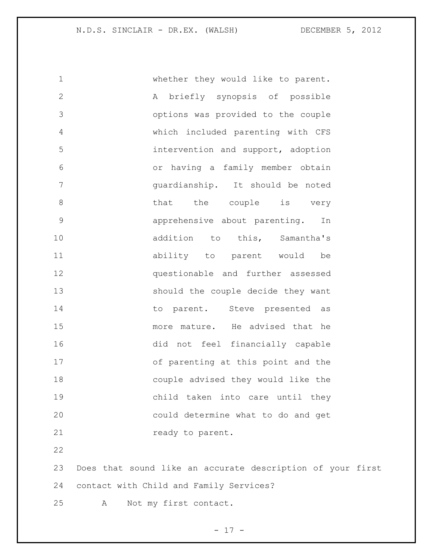whether they would like to parent. A briefly synopsis of possible options was provided to the couple which included parenting with CFS intervention and support, adoption or having a family member obtain guardianship. It should be noted 8 bhat the couple is very apprehensive about parenting. In 10 addition to this, Samantha's ability to parent would be questionable and further assessed should the couple decide they want 14 to parent. Steve presented as more mature. He advised that he did not feel financially capable of parenting at this point and the couple advised they would like the child taken into care until they could determine what to do and get **ready** to parent. 

 Does that sound like an accurate description of your first contact with Child and Family Services? A Not my first contact.

- 17 -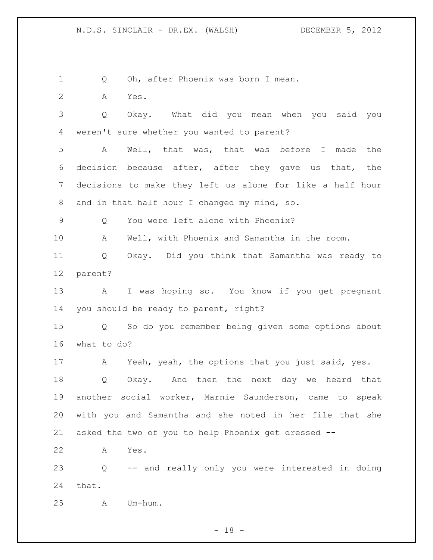Q Oh, after Phoenix was born I mean.

A Yes.

 Q Okay. What did you mean when you said you weren't sure whether you wanted to parent?

 A Well, that was, that was before I made the decision because after, after they gave us that, the decisions to make they left us alone for like a half hour and in that half hour I changed my mind, so.

Q You were left alone with Phoenix?

A Well, with Phoenix and Samantha in the room.

 Q Okay. Did you think that Samantha was ready to parent?

 A I was hoping so. You know if you get pregnant you should be ready to parent, right?

 Q So do you remember being given some options about what to do?

 A Yeah, yeah, the options that you just said, yes. Q Okay. And then the next day we heard that another social worker, Marnie Saunderson, came to speak with you and Samantha and she noted in her file that she asked the two of you to help Phoenix get dressed --

A Yes.

 Q -- and really only you were interested in doing that.

A Um-hum.

 $- 18 -$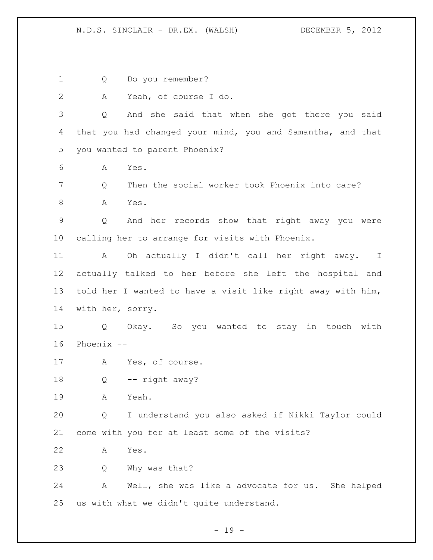Q Do you remember? A Yeah, of course I do. Q And she said that when she got there you said that you had changed your mind, you and Samantha, and that you wanted to parent Phoenix? A Yes. Q Then the social worker took Phoenix into care? A Yes. Q And her records show that right away you were calling her to arrange for visits with Phoenix. A Oh actually I didn't call her right away. I actually talked to her before she left the hospital and told her I wanted to have a visit like right away with him, with her, sorry. Q Okay. So you wanted to stay in touch with Phoenix -- A Yes, of course. Q -- right away? A Yeah. Q I understand you also asked if Nikki Taylor could come with you for at least some of the visits? A Yes. Q Why was that? A Well, she was like a advocate for us. She helped us with what we didn't quite understand.

 $- 19 -$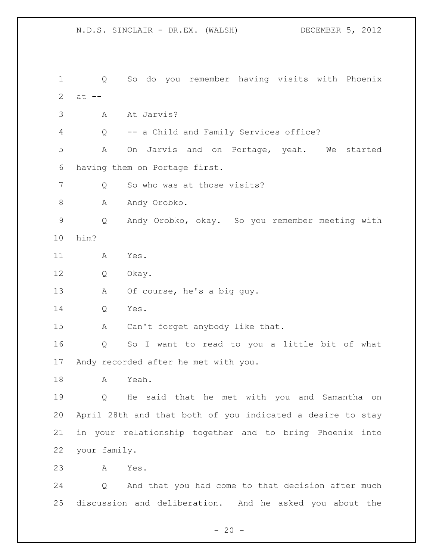N.D.S. SINCLAIR - DR.EX. (WALSH) DECEMBER 5, 2012 Q So do you remember having visits with Phoenix  $at --$  A At Jarvis? Q -- a Child and Family Services office? A On Jarvis and on Portage, yeah. We started having them on Portage first. 7 Q So who was at those visits? 8 A Andy Orobko. Q Andy Orobko, okay. So you remember meeting with him? A Yes. Q Okay. A Of course, he's a big guy. Q Yes. A Can't forget anybody like that. Q So I want to read to you a little bit of what Andy recorded after he met with you. A Yeah. Q He said that he met with you and Samantha on April 28th and that both of you indicated a desire to stay in your relationship together and to bring Phoenix into your family. A Yes. Q And that you had come to that decision after much discussion and deliberation. And he asked you about the

 $- 20 -$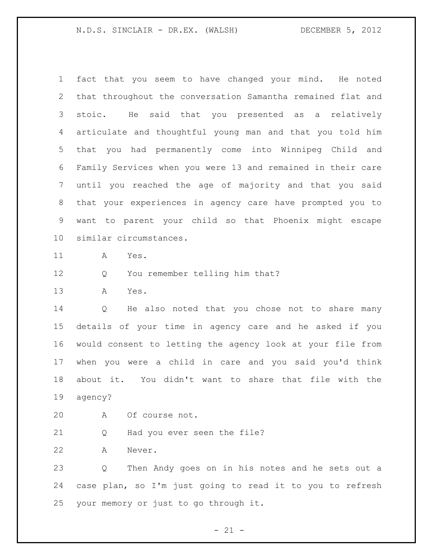fact that you seem to have changed your mind. He noted that throughout the conversation Samantha remained flat and stoic. He said that you presented as a relatively articulate and thoughtful young man and that you told him that you had permanently come into Winnipeg Child and Family Services when you were 13 and remained in their care until you reached the age of majority and that you said that your experiences in agency care have prompted you to want to parent your child so that Phoenix might escape similar circumstances.

- A Yes.
- Q You remember telling him that?
- A Yes.

 Q He also noted that you chose not to share many details of your time in agency care and he asked if you would consent to letting the agency look at your file from when you were a child in care and you said you'd think about it. You didn't want to share that file with the agency?

- A Of course not.
- Q Had you ever seen the file?

A Never.

 Q Then Andy goes on in his notes and he sets out a case plan, so I'm just going to read it to you to refresh your memory or just to go through it.

 $- 21 -$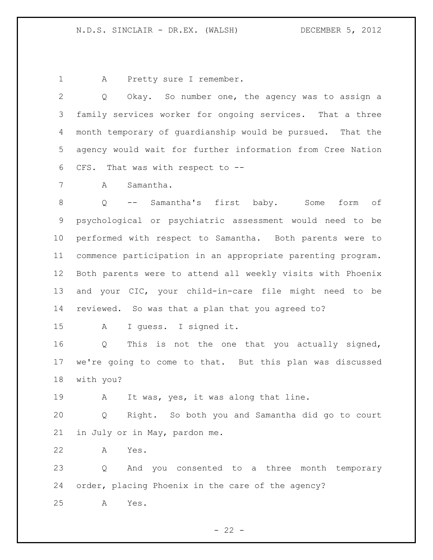A Pretty sure I remember.

 Q Okay. So number one, the agency was to assign a family services worker for ongoing services. That a three month temporary of guardianship would be pursued. That the agency would wait for further information from Cree Nation CFS. That was with respect to --

A Samantha.

 Q -- Samantha's first baby. Some form of psychological or psychiatric assessment would need to be performed with respect to Samantha. Both parents were to commence participation in an appropriate parenting program. Both parents were to attend all weekly visits with Phoenix and your CIC, your child-in-care file might need to be reviewed. So was that a plan that you agreed to?

A I guess. I signed it.

 Q This is not the one that you actually signed, we're going to come to that. But this plan was discussed with you?

A It was, yes, it was along that line.

 Q Right. So both you and Samantha did go to court in July or in May, pardon me.

A Yes.

 Q And you consented to a three month temporary order, placing Phoenix in the care of the agency?

A Yes.

 $- 22 -$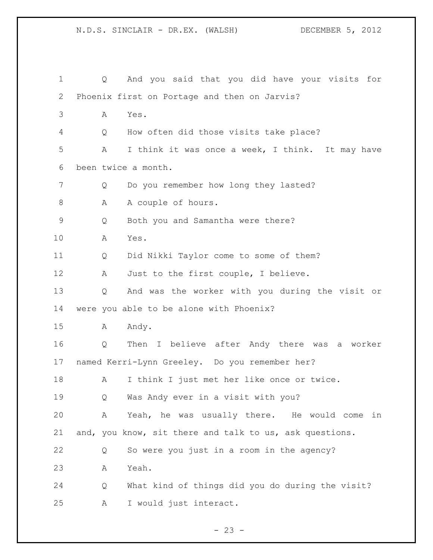N.D.S. SINCLAIR - DR.EX. (WALSH) DECEMBER 5, 2012 Q And you said that you did have your visits for Phoenix first on Portage and then on Jarvis? A Yes. Q How often did those visits take place? A I think it was once a week, I think. It may have been twice a month. Q Do you remember how long they lasted? 8 A A couple of hours. Q Both you and Samantha were there? A Yes. Q Did Nikki Taylor come to some of them? A Just to the first couple, I believe. Q And was the worker with you during the visit or were you able to be alone with Phoenix? A Andy. Q Then I believe after Andy there was a worker named Kerri-Lynn Greeley. Do you remember her? A I think I just met her like once or twice. Q Was Andy ever in a visit with you? A Yeah, he was usually there. He would come in and, you know, sit there and talk to us, ask questions.

Q So were you just in a room in the agency?

A Yeah.

 Q What kind of things did you do during the visit? A I would just interact.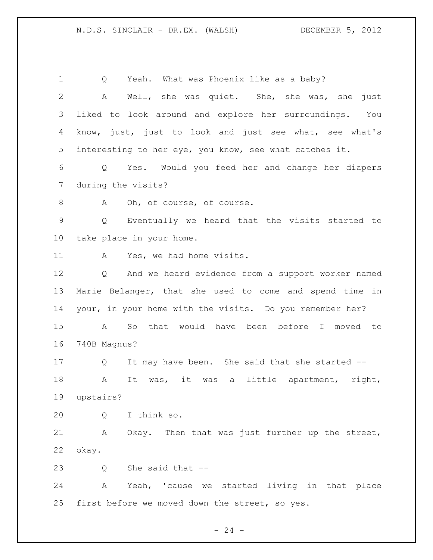Q Yeah. What was Phoenix like as a baby? A Well, she was quiet. She, she was, she just liked to look around and explore her surroundings. You know, just, just to look and just see what, see what's interesting to her eye, you know, see what catches it. Q Yes. Would you feed her and change her diapers during the visits? 8 A Oh, of course, of course. Q Eventually we heard that the visits started to take place in your home. 11 A Yes, we had home visits. Q And we heard evidence from a support worker named Marie Belanger, that she used to come and spend time in your, in your home with the visits. Do you remember her? A So that would have been before I moved to 740B Magnus? Q It may have been. She said that she started -- A It was, it was a little apartment, right, upstairs? Q I think so. A Okay. Then that was just further up the street, okay. Q She said that -- A Yeah, 'cause we started living in that place first before we moved down the street, so yes.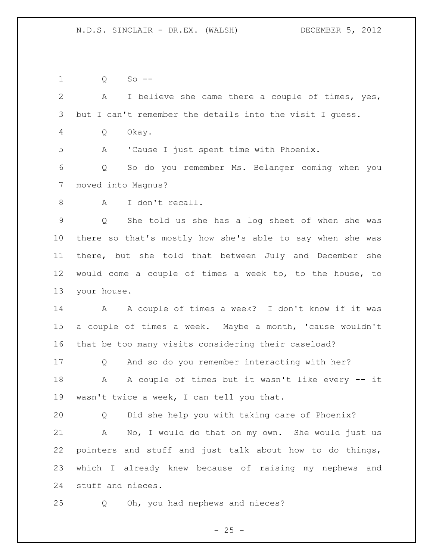Q So -- A I believe she came there a couple of times, yes, but I can't remember the details into the visit I guess. Q Okay. A 'Cause I just spent time with Phoenix. Q So do you remember Ms. Belanger coming when you moved into Magnus? A I don't recall. Q She told us she has a log sheet of when she was there so that's mostly how she's able to say when she was there, but she told that between July and December she would come a couple of times a week to, to the house, to your house. 14 A A couple of times a week? I don't know if it was a couple of times a week. Maybe a month, 'cause wouldn't that be too many visits considering their caseload? Q And so do you remember interacting with her? 18 A A couple of times but it wasn't like every -- it wasn't twice a week, I can tell you that. Q Did she help you with taking care of Phoenix? A No, I would do that on my own. She would just us pointers and stuff and just talk about how to do things, which I already knew because of raising my nephews and stuff and nieces. Q Oh, you had nephews and nieces?

 $- 25 -$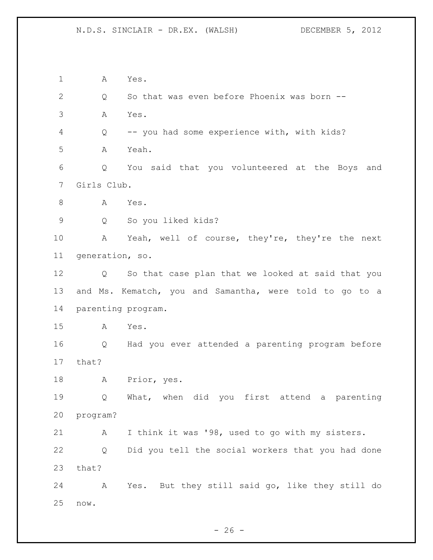A Yes. Q So that was even before Phoenix was born -- A Yes. Q -- you had some experience with, with kids? A Yeah. Q You said that you volunteered at the Boys and Girls Club. 8 A Yes. Q So you liked kids? A Yeah, well of course, they're, they're the next generation, so. Q So that case plan that we looked at said that you and Ms. Kematch, you and Samantha, were told to go to a parenting program. A Yes. Q Had you ever attended a parenting program before that? A Prior, yes. Q What, when did you first attend a parenting program? A I think it was '98, used to go with my sisters. Q Did you tell the social workers that you had done that? A Yes. But they still said go, like they still do now.

 $- 26 -$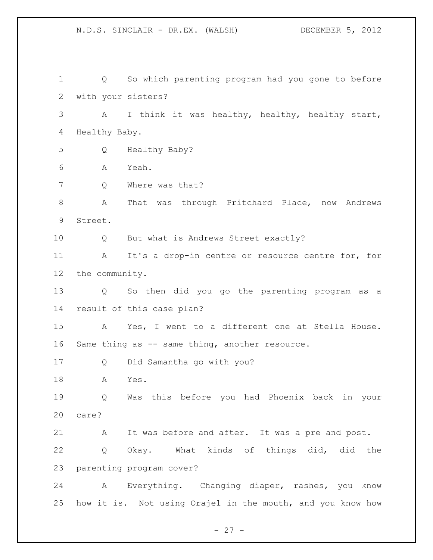Q So which parenting program had you gone to before with your sisters? A I think it was healthy, healthy, healthy start, Healthy Baby. Q Healthy Baby? A Yeah. 7 Q Where was that? A That was through Pritchard Place, now Andrews Street. Q But what is Andrews Street exactly? A It's a drop-in centre or resource centre for, for the community. Q So then did you go the parenting program as a result of this case plan? A Yes, I went to a different one at Stella House. 16 Same thing as -- same thing, another resource. Q Did Samantha go with you? A Yes. Q Was this before you had Phoenix back in your care? A It was before and after. It was a pre and post. Q Okay. What kinds of things did, did the parenting program cover? A Everything. Changing diaper, rashes, you know how it is. Not using Orajel in the mouth, and you know how

N.D.S. SINCLAIR - DR.EX. (WALSH) DECEMBER 5, 2012

 $- 27 -$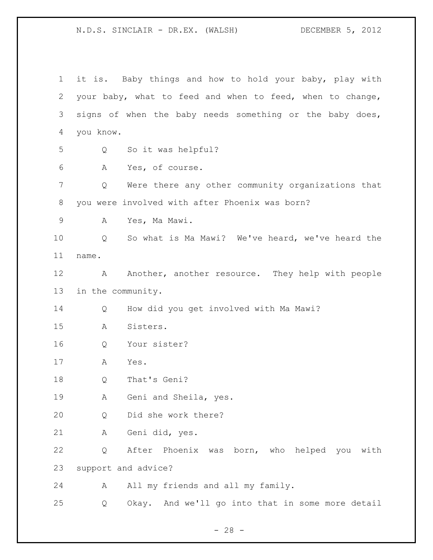it is. Baby things and how to hold your baby, play with your baby, what to feed and when to feed, when to change, signs of when the baby needs something or the baby does, you know. Q So it was helpful? A Yes, of course. Q Were there any other community organizations that you were involved with after Phoenix was born? A Yes, Ma Mawi. Q So what is Ma Mawi? We've heard, we've heard the name. 12 A Another, another resource. They help with people in the community. Q How did you get involved with Ma Mawi? A Sisters. Q Your sister? A Yes. Q That's Geni? A Geni and Sheila, yes. Q Did she work there? A Geni did, yes. Q After Phoenix was born, who helped you with support and advice? 24 A All my friends and all my family. Q Okay. And we'll go into that in some more detail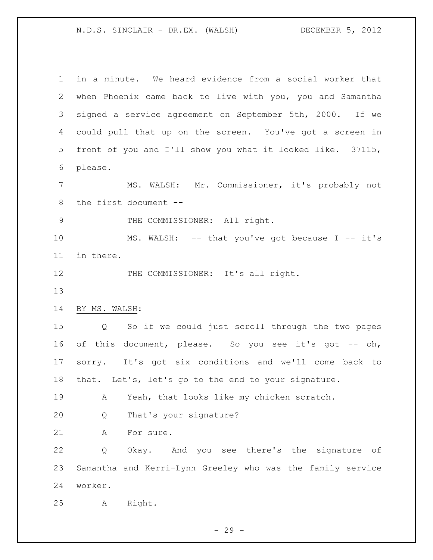in a minute. We heard evidence from a social worker that when Phoenix came back to live with you, you and Samantha signed a service agreement on September 5th, 2000. If we could pull that up on the screen. You've got a screen in front of you and I'll show you what it looked like. 37115, please. MS. WALSH: Mr. Commissioner, it's probably not the first document -- 9 THE COMMISSIONER: All right. 10 MS. WALSH: -- that you've got because I -- it's in there. 12 THE COMMISSIONER: It's all right. BY MS. WALSH: Q So if we could just scroll through the two pages 16 of this document, please. So you see it's got -- oh, sorry. It's got six conditions and we'll come back to that. Let's, let's go to the end to your signature. A Yeah, that looks like my chicken scratch. Q That's your signature? 21 A For sure. Q Okay. And you see there's the signature of Samantha and Kerri-Lynn Greeley who was the family service worker. A Right.

 $-29 -$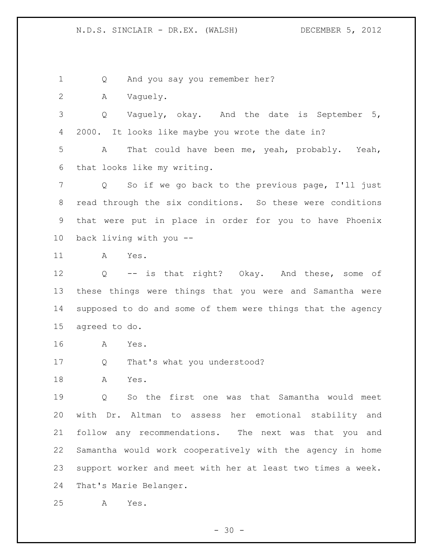Q And you say you remember her?

A Vaguely.

 Q Vaguely, okay. And the date is September 5, 2000. It looks like maybe you wrote the date in?

 A That could have been me, yeah, probably. Yeah, that looks like my writing.

 Q So if we go back to the previous page, I'll just read through the six conditions. So these were conditions that were put in place in order for you to have Phoenix back living with you --

A Yes.

 Q -- is that right? Okay. And these, some of these things were things that you were and Samantha were supposed to do and some of them were things that the agency agreed to do.

- A Yes.
- Q That's what you understood?

A Yes.

 Q So the first one was that Samantha would meet with Dr. Altman to assess her emotional stability and follow any recommendations. The next was that you and Samantha would work cooperatively with the agency in home support worker and meet with her at least two times a week. That's Marie Belanger.

A Yes.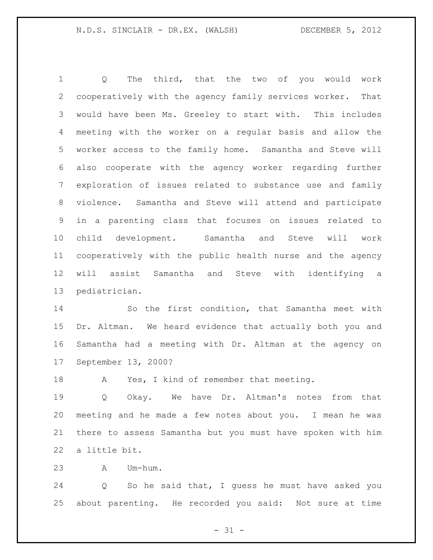Q The third, that the two of you would work cooperatively with the agency family services worker. That would have been Ms. Greeley to start with. This includes meeting with the worker on a regular basis and allow the worker access to the family home. Samantha and Steve will also cooperate with the agency worker regarding further exploration of issues related to substance use and family violence. Samantha and Steve will attend and participate in a parenting class that focuses on issues related to child development. Samantha and Steve will work cooperatively with the public health nurse and the agency will assist Samantha and Steve with identifying a pediatrician.

 So the first condition, that Samantha meet with Dr. Altman. We heard evidence that actually both you and Samantha had a meeting with Dr. Altman at the agency on September 13, 2000?

18 A Yes, I kind of remember that meeting.

 Q Okay. We have Dr. Altman's notes from that meeting and he made a few notes about you. I mean he was there to assess Samantha but you must have spoken with him a little bit.

A Um-hum.

 Q So he said that, I guess he must have asked you about parenting. He recorded you said: Not sure at time

 $- 31 -$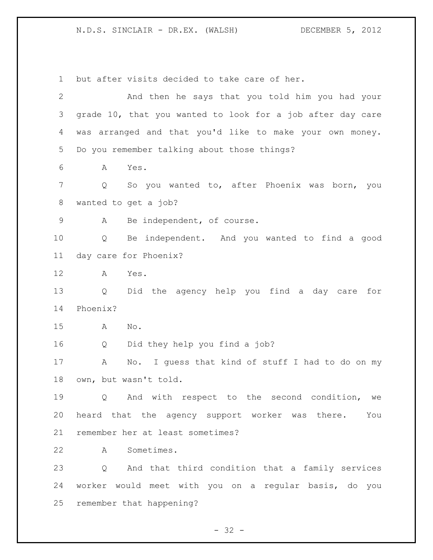but after visits decided to take care of her. And then he says that you told him you had your grade 10, that you wanted to look for a job after day care was arranged and that you'd like to make your own money. Do you remember talking about those things? A Yes. Q So you wanted to, after Phoenix was born, you wanted to get a job? A Be independent, of course. Q Be independent. And you wanted to find a good day care for Phoenix? A Yes. Q Did the agency help you find a day care for Phoenix? A No. Q Did they help you find a job? A No. I guess that kind of stuff I had to do on my own, but wasn't told. Q And with respect to the second condition, we heard that the agency support worker was there. You remember her at least sometimes? A Sometimes. Q And that third condition that a family services worker would meet with you on a regular basis, do you remember that happening?

 $- 32 -$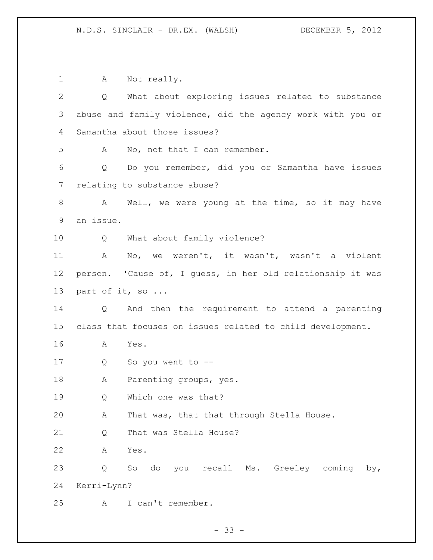1 A Not really. Q What about exploring issues related to substance abuse and family violence, did the agency work with you or Samantha about those issues? A No, not that I can remember. Q Do you remember, did you or Samantha have issues relating to substance abuse? 8 A Well, we were young at the time, so it may have an issue. Q What about family violence? A No, we weren't, it wasn't, wasn't a violent person. 'Cause of, I guess, in her old relationship it was part of it, so ... Q And then the requirement to attend a parenting class that focuses on issues related to child development. A Yes. Q So you went to -- A Parenting groups, yes. Q Which one was that? 20 A That was, that that through Stella House. 21 O That was Stella House? A Yes. Q So do you recall Ms. Greeley coming by, Kerri-Lynn? A I can't remember.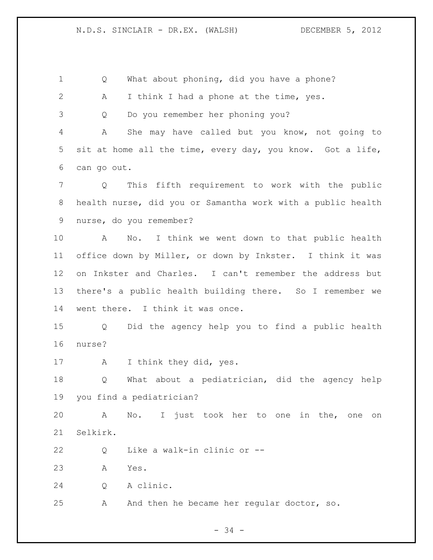Q What about phoning, did you have a phone? 2 A I think I had a phone at the time, yes. Q Do you remember her phoning you? A She may have called but you know, not going to sit at home all the time, every day, you know. Got a life, can go out. Q This fifth requirement to work with the public health nurse, did you or Samantha work with a public health nurse, do you remember? A No. I think we went down to that public health office down by Miller, or down by Inkster. I think it was on Inkster and Charles. I can't remember the address but there's a public health building there. So I remember we went there. I think it was once. Q Did the agency help you to find a public health nurse? A I think they did, yes. Q What about a pediatrician, did the agency help you find a pediatrician? A No. I just took her to one in the, one on Selkirk. Q Like a walk-in clinic or -- A Yes. Q A clinic. A And then he became her regular doctor, so.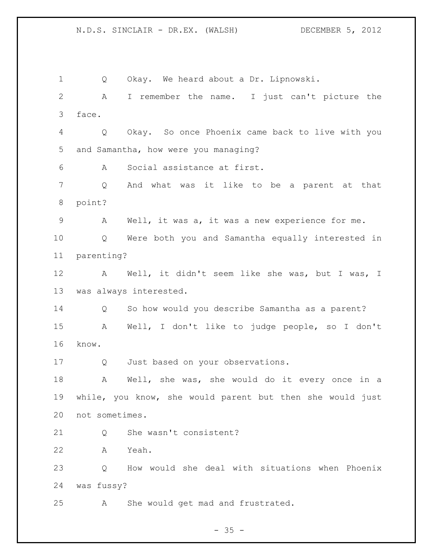Q Okay. We heard about a Dr. Lipnowski. A I remember the name. I just can't picture the face. Q Okay. So once Phoenix came back to live with you and Samantha, how were you managing? A Social assistance at first. Q And what was it like to be a parent at that point? A Well, it was a, it was a new experience for me. Q Were both you and Samantha equally interested in parenting? A Well, it didn't seem like she was, but I was, I was always interested. Q So how would you describe Samantha as a parent? A Well, I don't like to judge people, so I don't know. 17 Q Just based on your observations. 18 A Well, she was, she would do it every once in a while, you know, she would parent but then she would just not sometimes. Q She wasn't consistent? A Yeah. Q How would she deal with situations when Phoenix was fussy? A She would get mad and frustrated.

 $- 35 -$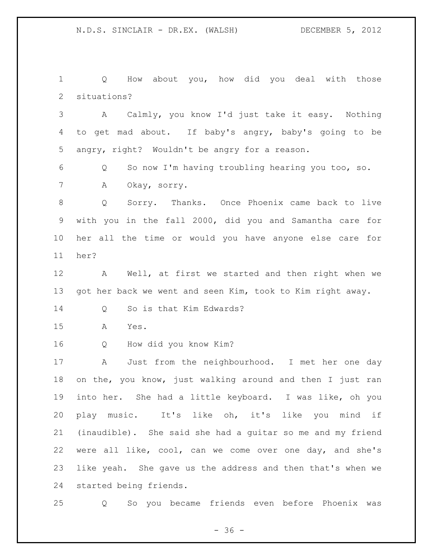Q How about you, how did you deal with those situations?

 A Calmly, you know I'd just take it easy. Nothing to get mad about. If baby's angry, baby's going to be angry, right? Wouldn't be angry for a reason.

 Q So now I'm having troubling hearing you too, so. A Okay, sorry.

 Q Sorry. Thanks. Once Phoenix came back to live with you in the fall 2000, did you and Samantha care for her all the time or would you have anyone else care for her?

 A Well, at first we started and then right when we got her back we went and seen Kim, took to Kim right away.

Q So is that Kim Edwards?

A Yes.

Q How did you know Kim?

 A Just from the neighbourhood. I met her one day on the, you know, just walking around and then I just ran into her. She had a little keyboard. I was like, oh you play music. It's like oh, it's like you mind if (inaudible). She said she had a guitar so me and my friend were all like, cool, can we come over one day, and she's like yeah. She gave us the address and then that's when we started being friends.

Q So you became friends even before Phoenix was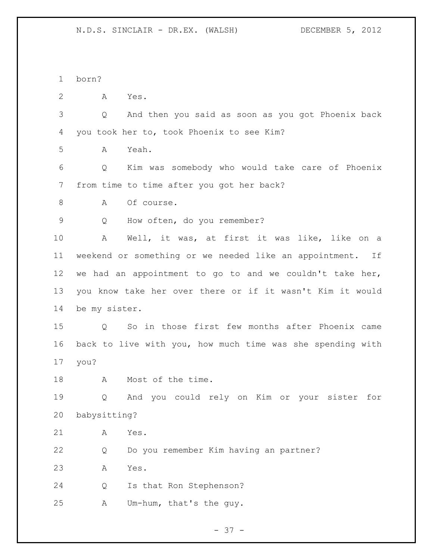born?

A Yes.

 Q And then you said as soon as you got Phoenix back you took her to, took Phoenix to see Kim?

A Yeah.

 Q Kim was somebody who would take care of Phoenix from time to time after you got her back?

8 A Of course.

Q How often, do you remember?

 A Well, it was, at first it was like, like on a weekend or something or we needed like an appointment. If we had an appointment to go to and we couldn't take her, you know take her over there or if it wasn't Kim it would be my sister.

 Q So in those first few months after Phoenix came back to live with you, how much time was she spending with you?

18 A Most of the time.

 Q And you could rely on Kim or your sister for babysitting?

A Yes.

Q Do you remember Kim having an partner?

A Yes.

Q Is that Ron Stephenson?

A Um-hum, that's the guy.

- 37 -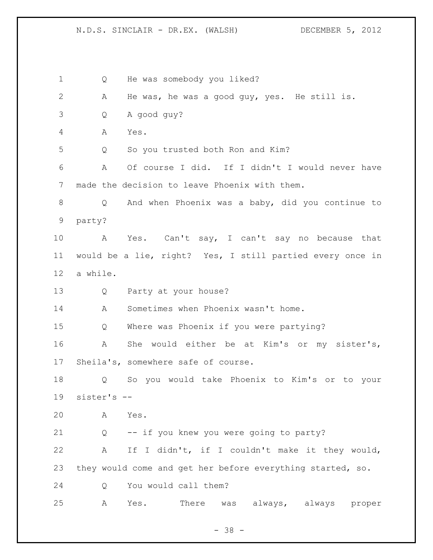Q He was somebody you liked? A He was, he was a good guy, yes. He still is. Q A good guy? A Yes. Q So you trusted both Ron and Kim? A Of course I did. If I didn't I would never have made the decision to leave Phoenix with them. Q And when Phoenix was a baby, did you continue to party? A Yes. Can't say, I can't say no because that would be a lie, right? Yes, I still partied every once in a while. Q Party at your house? A Sometimes when Phoenix wasn't home. Q Where was Phoenix if you were partying? A She would either be at Kim's or my sister's, Sheila's, somewhere safe of course. Q So you would take Phoenix to Kim's or to your sister's -- A Yes. Q -- if you knew you were going to party? A If I didn't, if I couldn't make it they would, they would come and get her before everything started, so. Q You would call them? A Yes. There was always, always proper

 $- 38 -$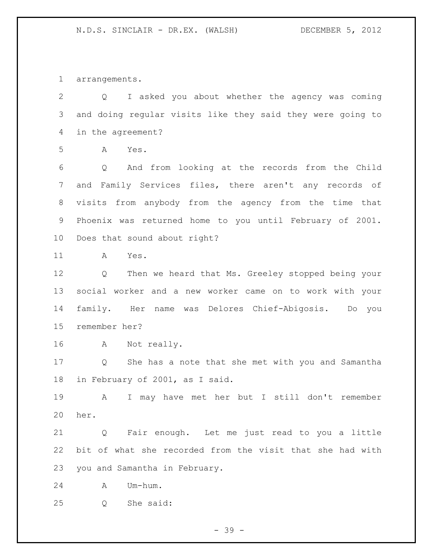arrangements.

 Q I asked you about whether the agency was coming and doing regular visits like they said they were going to in the agreement? A Yes. Q And from looking at the records from the Child and Family Services files, there aren't any records of visits from anybody from the agency from the time that Phoenix was returned home to you until February of 2001. Does that sound about right? A Yes. Q Then we heard that Ms. Greeley stopped being your social worker and a new worker came on to work with your family. Her name was Delores Chief-Abigosis. Do you remember her? A Not really. Q She has a note that she met with you and Samantha in February of 2001, as I said. A I may have met her but I still don't remember her. Q Fair enough. Let me just read to you a little bit of what she recorded from the visit that she had with you and Samantha in February. A Um-hum. Q She said:

- 39 -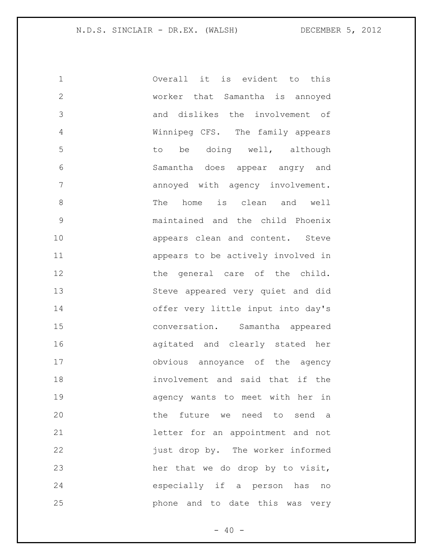| $\mathbf 1$   | Overall it is evident to this      |
|---------------|------------------------------------|
| $\mathbf{2}$  | worker that Samantha is annoyed    |
| 3             | and dislikes the involvement of    |
| 4             | Winnipeg CFS. The family appears   |
| 5             | to be doing well, although         |
| 6             | Samantha does appear angry and     |
| 7             | annoyed with agency involvement.   |
| $\,8\,$       | The home is clean and well         |
| $\mathcal{G}$ | maintained and the child Phoenix   |
| 10            | appears clean and content. Steve   |
| 11            | appears to be actively involved in |
| 12            | the general care of the child.     |
| 13            | Steve appeared very quiet and did  |
| 14            | offer very little input into day's |
| 15            | conversation. Samantha appeared    |
| 16            | agitated and clearly stated her    |
| 17            | obvious annoyance of the agency    |
| 18            | involvement and said that if the   |
| 19            | agency wants to meet with her in   |
| 20            | the future we need to send a       |
| 21            | letter for an appointment and not  |
| 22            | just drop by. The worker informed  |
| 23            | her that we do drop by to visit,   |
| 24            | especially if a person has no      |
| 25            | phone and to date this was very    |

 $- 40 -$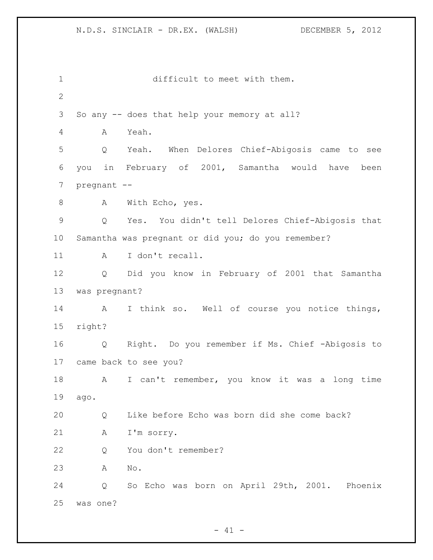difficult to meet with them. So any -- does that help your memory at all? A Yeah. Q Yeah. When Delores Chief-Abigosis came to see you in February of 2001, Samantha would have been pregnant -- 8 A With Echo, yes. Q Yes. You didn't tell Delores Chief-Abigosis that Samantha was pregnant or did you; do you remember? 11 A I don't recall. Q Did you know in February of 2001 that Samantha was pregnant? A I think so. Well of course you notice things, right? Q Right. Do you remember if Ms. Chief -Abigosis to came back to see you? 18 A I can't remember, you know it was a long time ago. Q Like before Echo was born did she come back? A I'm sorry. Q You don't remember? A No. Q So Echo was born on April 29th, 2001. Phoenix was one?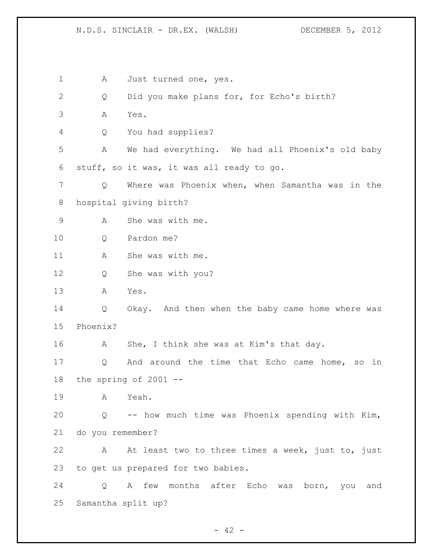1 A Just turned one, yes. Q Did you make plans for, for Echo's birth? A Yes. Q You had supplies? A We had everything. We had all Phoenix's old baby stuff, so it was, it was all ready to go. Q Where was Phoenix when, when Samantha was in the hospital giving birth? A She was with me. Q Pardon me? 11 A She was with me. Q She was with you? A Yes. Q Okay. And then when the baby came home where was Phoenix? A She, I think she was at Kim's that day. Q And around the time that Echo came home, so in the spring of 2001 -- A Yeah. Q -- how much time was Phoenix spending with Kim, do you remember? A At least two to three times a week, just to, just to get us prepared for two babies. Q A few months after Echo was born, you and Samantha split up?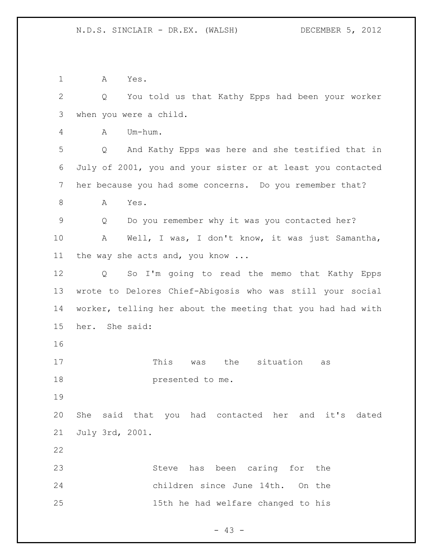A Yes. Q You told us that Kathy Epps had been your worker when you were a child. A Um-hum. Q And Kathy Epps was here and she testified that in July of 2001, you and your sister or at least you contacted her because you had some concerns. Do you remember that? 8 A Yes. Q Do you remember why it was you contacted her? A Well, I was, I don't know, it was just Samantha, the way she acts and, you know ... Q So I'm going to read the memo that Kathy Epps wrote to Delores Chief-Abigosis who was still your social worker, telling her about the meeting that you had had with her. She said: 17 This was the situation as presented to me. She said that you had contacted her and it's dated July 3rd, 2001. Steve has been caring for the children since June 14th. On the 15th he had welfare changed to his

 $- 43 -$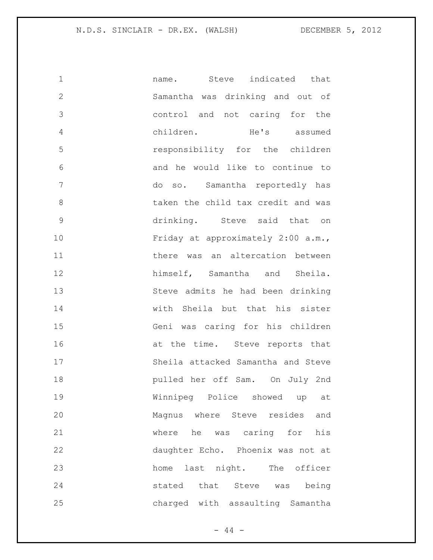| $\mathbf 1$   | name. Steve indicated that         |
|---------------|------------------------------------|
| $\mathbf{2}$  | Samantha was drinking and out of   |
| 3             | control and not caring for the     |
| 4             | children. He's assumed             |
| 5             | responsibility for the children    |
| 6             | and he would like to continue to   |
| 7             | do so. Samantha reportedly has     |
| 8             | taken the child tax credit and was |
| $\mathcal{G}$ | drinking. Steve said that on       |
| 10            | Friday at approximately 2:00 a.m., |
| 11            | there was an altercation between   |
| 12            | himself, Samantha and Sheila.      |
| 13            | Steve admits he had been drinking  |
| 14            | with Sheila but that his sister    |
| 15            | Geni was caring for his children   |
| 16            | at the time. Steve reports that    |
| 17            | Sheila attacked Samantha and Steve |
| 18            | pulled her off Sam. On July 2nd    |
| 19            | Winnipeg Police showed up at       |
| 20            | Magnus where Steve resides<br>and  |
| 21            | where he was caring for<br>his     |
| 22            | daughter Echo. Phoenix was not at  |
| 23            | last night. The officer<br>home    |
| 24            | stated that Steve was being        |
| 25            | charged with assaulting Samantha   |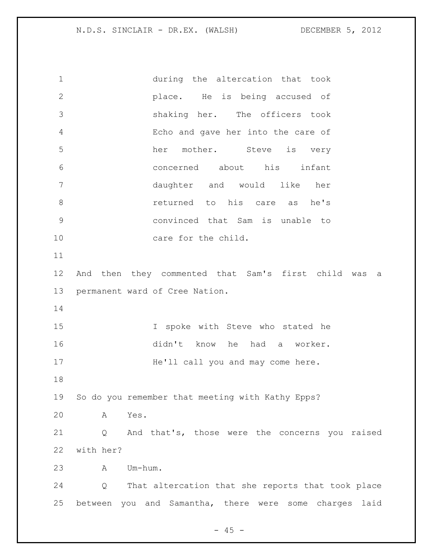during the altercation that took place. He is being accused of shaking her. The officers took Echo and gave her into the care of her mother. Steve is very concerned about his infant daughter and would like her **8 8 returned** to his care as he's convinced that Sam is unable to 10 care for the child. And then they commented that Sam's first child was a permanent ward of Cree Nation. I spoke with Steve who stated he didn't know he had a worker. 17 He'll call you and may come here. So do you remember that meeting with Kathy Epps? A Yes. Q And that's, those were the concerns you raised with her? A Um-hum. Q That altercation that she reports that took place between you and Samantha, there were some charges laid

 $- 45 -$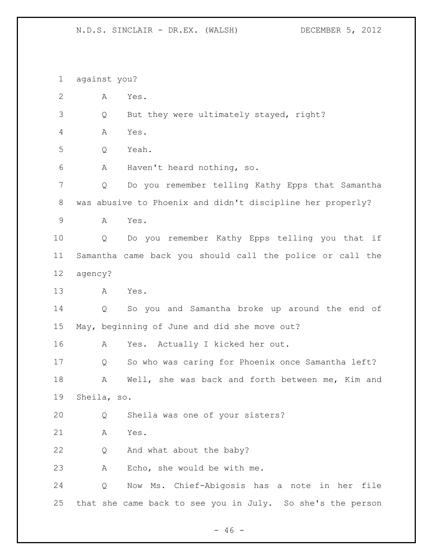against you? A Yes. Q But they were ultimately stayed, right? A Yes. Q Yeah. A Haven't heard nothing, so. Q Do you remember telling Kathy Epps that Samantha was abusive to Phoenix and didn't discipline her properly? A Yes. Q Do you remember Kathy Epps telling you that if Samantha came back you should call the police or call the agency? A Yes. Q So you and Samantha broke up around the end of May, beginning of June and did she move out? A Yes. Actually I kicked her out. Q So who was caring for Phoenix once Samantha left? A Well, she was back and forth between me, Kim and Sheila, so. Q Sheila was one of your sisters? A Yes. 22 Q And what about the baby? A Echo, she would be with me. Q Now Ms. Chief-Abigosis has a note in her file that she came back to see you in July. So she's the person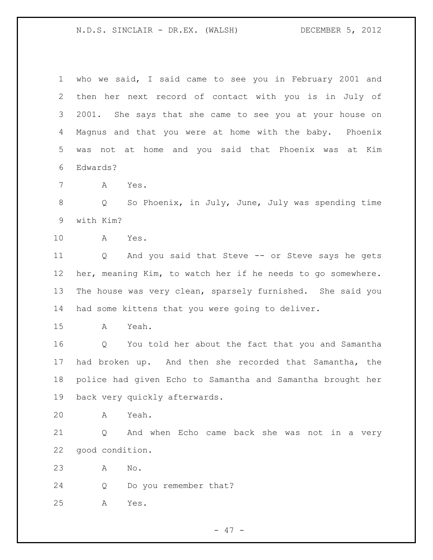who we said, I said came to see you in February 2001 and then her next record of contact with you is in July of 2001. She says that she came to see you at your house on Magnus and that you were at home with the baby. Phoenix was not at home and you said that Phoenix was at Kim Edwards?

A Yes.

8 Q So Phoenix, in July, June, July was spending time with Kim?

A Yes.

 Q And you said that Steve -- or Steve says he gets her, meaning Kim, to watch her if he needs to go somewhere. The house was very clean, sparsely furnished. She said you had some kittens that you were going to deliver.

A Yeah.

 Q You told her about the fact that you and Samantha had broken up. And then she recorded that Samantha, the police had given Echo to Samantha and Samantha brought her back very quickly afterwards.

A Yeah.

 Q And when Echo came back she was not in a very good condition.

A No.

Q Do you remember that?

A Yes.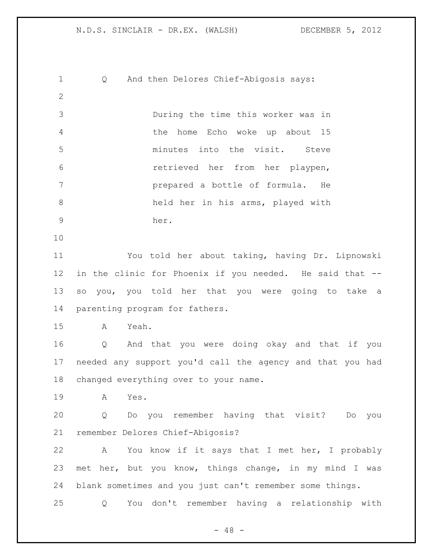Q And then Delores Chief-Abigosis says: During the time this worker was in the home Echo woke up about 15 minutes into the visit. Steve retrieved her from her playpen, prepared a bottle of formula. He held her in his arms, played with her. You told her about taking, having Dr. Lipnowski in the clinic for Phoenix if you needed. He said that -- so you, you told her that you were going to take a parenting program for fathers. A Yeah. Q And that you were doing okay and that if you needed any support you'd call the agency and that you had changed everything over to your name. A Yes. Q Do you remember having that visit? Do you remember Delores Chief-Abigosis? A You know if it says that I met her, I probably met her, but you know, things change, in my mind I was blank sometimes and you just can't remember some things. Q You don't remember having a relationship with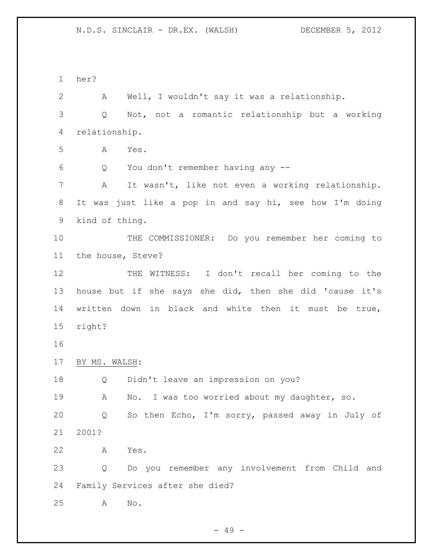her?

 A Well, I wouldn't say it was a relationship. Q Not, not a romantic relationship but a working relationship. A Yes. Q You don't remember having any -- A It wasn't, like not even a working relationship. It was just like a pop in and say hi, see how I'm doing kind of thing. THE COMMISSIONER: Do you remember her coming to the house, Steve? THE WITNESS: I don't recall her coming to the house but if she says she did, then she did 'cause it's written down in black and white then it must be true, right? BY MS. WALSH: Q Didn't leave an impression on you? A No. I was too worried about my daughter, so. Q So then Echo, I'm sorry, passed away in July of 2001? A Yes. Q Do you remember any involvement from Child and Family Services after she died? A No.

 $- 49 -$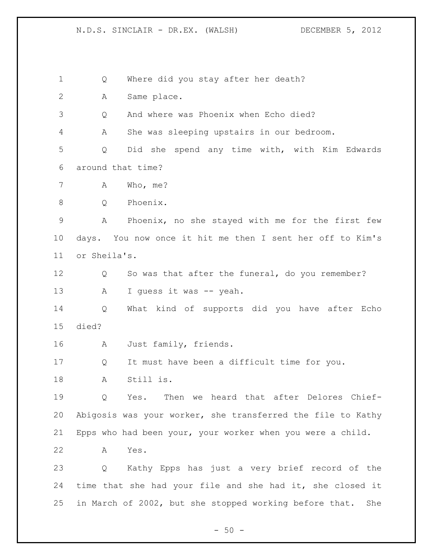Q Where did you stay after her death? A Same place. Q And where was Phoenix when Echo died? A She was sleeping upstairs in our bedroom. Q Did she spend any time with, with Kim Edwards around that time? A Who, me? Q Phoenix. A Phoenix, no she stayed with me for the first few days. You now once it hit me then I sent her off to Kim's or Sheila's. Q So was that after the funeral, do you remember? 13 A I guess it was -- yeah. Q What kind of supports did you have after Echo died? A Just family, friends. Q It must have been a difficult time for you. A Still is. Q Yes. Then we heard that after Delores Chief- Abigosis was your worker, she transferred the file to Kathy Epps who had been your, your worker when you were a child. A Yes. Q Kathy Epps has just a very brief record of the time that she had your file and she had it, she closed it in March of 2002, but she stopped working before that. She

 $-50 -$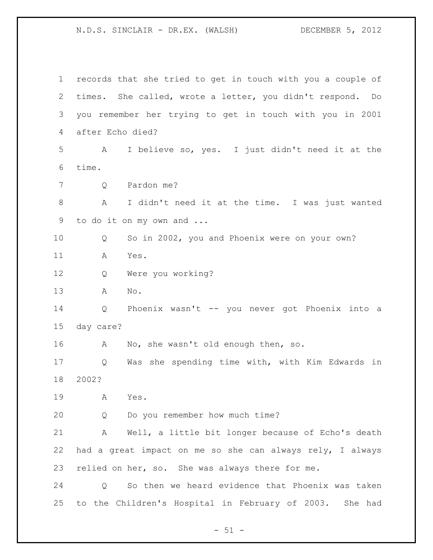records that she tried to get in touch with you a couple of times. She called, wrote a letter, you didn't respond. Do you remember her trying to get in touch with you in 2001 after Echo died? A I believe so, yes. I just didn't need it at the time. Q Pardon me? A I didn't need it at the time. I was just wanted to do it on my own and ... Q So in 2002, you and Phoenix were on your own? A Yes. Q Were you working? A No. Q Phoenix wasn't -- you never got Phoenix into a day care? A No, she wasn't old enough then, so. Q Was she spending time with, with Kim Edwards in 2002? A Yes. Q Do you remember how much time? A Well, a little bit longer because of Echo's death had a great impact on me so she can always rely, I always relied on her, so. She was always there for me. Q So then we heard evidence that Phoenix was taken to the Children's Hospital in February of 2003. She had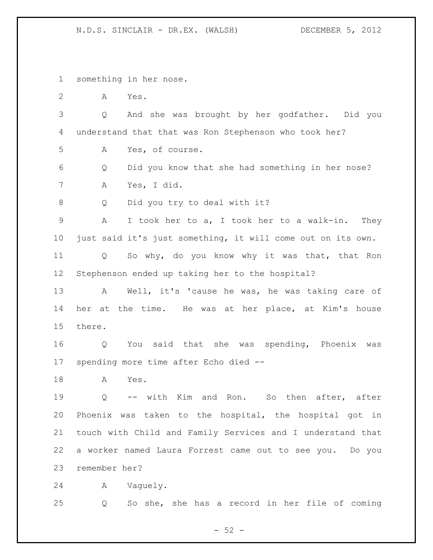something in her nose.

A Yes.

 Q And she was brought by her godfather. Did you understand that that was Ron Stephenson who took her?

A Yes, of course.

 Q Did you know that she had something in her nose? A Yes, I did.

Q Did you try to deal with it?

 A I took her to a, I took her to a walk-in. They just said it's just something, it will come out on its own.

 Q So why, do you know why it was that, that Ron Stephenson ended up taking her to the hospital?

 A Well, it's 'cause he was, he was taking care of her at the time. He was at her place, at Kim's house there.

 Q You said that she was spending, Phoenix was spending more time after Echo died --

A Yes.

 Q -- with Kim and Ron. So then after, after Phoenix was taken to the hospital, the hospital got in touch with Child and Family Services and I understand that a worker named Laura Forrest came out to see you. Do you remember her?

A Vaguely.

Q So she, she has a record in her file of coming

 $-52 -$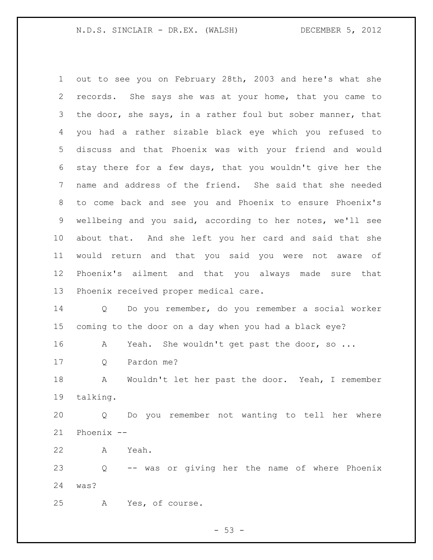out to see you on February 28th, 2003 and here's what she records. She says she was at your home, that you came to 3 the door, she says, in a rather foul but sober manner, that you had a rather sizable black eye which you refused to discuss and that Phoenix was with your friend and would stay there for a few days, that you wouldn't give her the name and address of the friend. She said that she needed to come back and see you and Phoenix to ensure Phoenix's wellbeing and you said, according to her notes, we'll see about that. And she left you her card and said that she would return and that you said you were not aware of Phoenix's ailment and that you always made sure that Phoenix received proper medical care.

 Q Do you remember, do you remember a social worker coming to the door on a day when you had a black eye?

A Yeah. She wouldn't get past the door, so ...

Q Pardon me?

 A Wouldn't let her past the door. Yeah, I remember talking.

 Q Do you remember not wanting to tell her where Phoenix --

A Yeah.

 Q -- was or giving her the name of where Phoenix was?

A Yes, of course.

 $-53 -$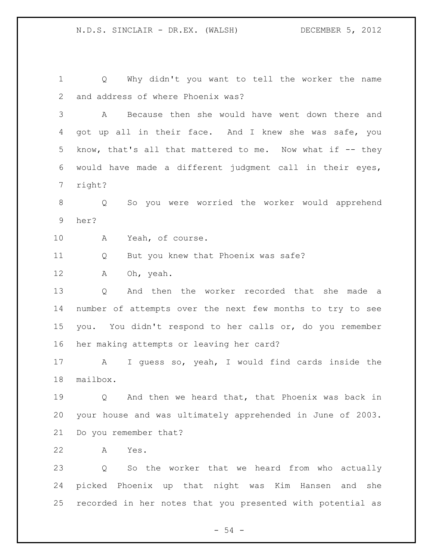Q Why didn't you want to tell the worker the name and address of where Phoenix was? A Because then she would have went down there and 4 got up all in their face. And I knew she was safe, you 5 know, that's all that mattered to me. Now what if -- they would have made a different judgment call in their eyes, right? Q So you were worried the worker would apprehend her? A Yeah, of course. Q But you knew that Phoenix was safe? A Oh, yeah. Q And then the worker recorded that she made a number of attempts over the next few months to try to see you. You didn't respond to her calls or, do you remember her making attempts or leaving her card? A I guess so, yeah, I would find cards inside the mailbox. Q And then we heard that, that Phoenix was back in your house and was ultimately apprehended in June of 2003. Do you remember that? A Yes. Q So the worker that we heard from who actually picked Phoenix up that night was Kim Hansen and she

recorded in her notes that you presented with potential as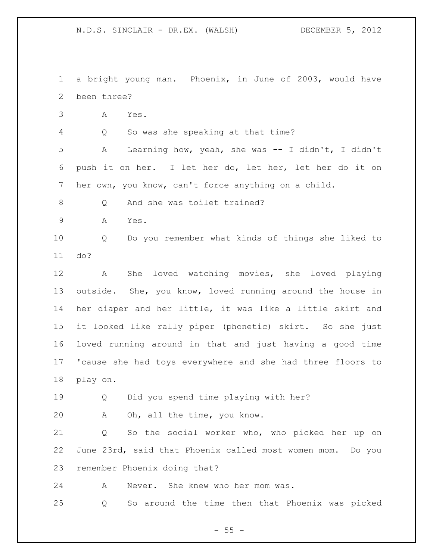a bright young man. Phoenix, in June of 2003, would have been three?

A Yes.

Q So was she speaking at that time?

 A Learning how, yeah, she was -- I didn't, I didn't push it on her. I let her do, let her, let her do it on her own, you know, can't force anything on a child.

8 O And she was toilet trained?

A Yes.

 Q Do you remember what kinds of things she liked to do?

 A She loved watching movies, she loved playing outside. She, you know, loved running around the house in her diaper and her little, it was like a little skirt and it looked like rally piper (phonetic) skirt. So she just loved running around in that and just having a good time 'cause she had toys everywhere and she had three floors to play on.

Q Did you spend time playing with her?

A Oh, all the time, you know.

 Q So the social worker who, who picked her up on June 23rd, said that Phoenix called most women mom. Do you remember Phoenix doing that?

A Never. She knew who her mom was.

Q So around the time then that Phoenix was picked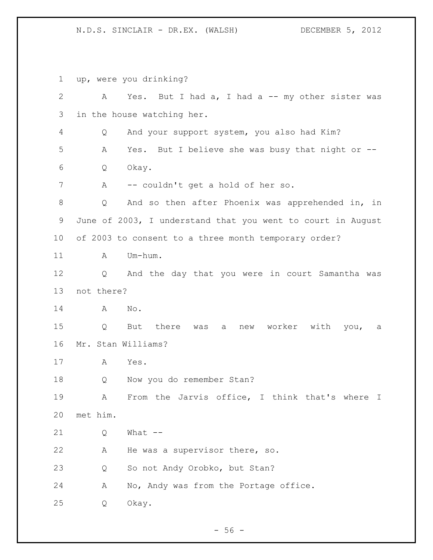up, were you drinking? 2 A Yes. But I had a, I had a -- my other sister was in the house watching her. Q And your support system, you also had Kim? A Yes. But I believe she was busy that night or -- Q Okay. A -- couldn't get a hold of her so. Q And so then after Phoenix was apprehended in, in June of 2003, I understand that you went to court in August of 2003 to consent to a three month temporary order? 11 A Um-hum. Q And the day that you were in court Samantha was not there? A No. Q But there was a new worker with you, a Mr. Stan Williams? A Yes. 18 Q Now you do remember Stan? A From the Jarvis office, I think that's where I met him. Q What -- A He was a supervisor there, so. Q So not Andy Orobko, but Stan? 24 A No, Andy was from the Portage office. Q Okay.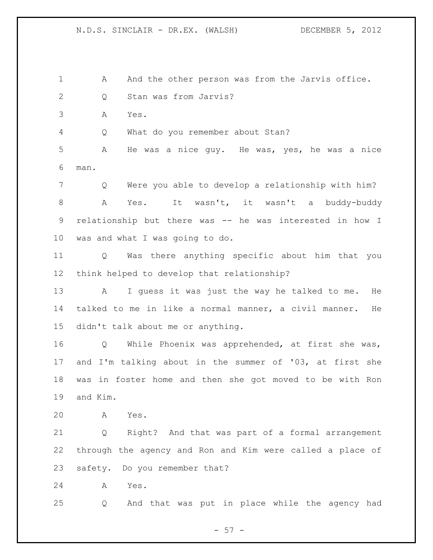1 A And the other person was from the Jarvis office. Q Stan was from Jarvis?

A Yes.

Q What do you remember about Stan?

 A He was a nice guy. He was, yes, he was a nice man.

 Q Were you able to develop a relationship with him? A Yes. It wasn't, it wasn't a buddy-buddy relationship but there was -- he was interested in how I was and what I was going to do.

 Q Was there anything specific about him that you think helped to develop that relationship?

 A I guess it was just the way he talked to me. He talked to me in like a normal manner, a civil manner. He didn't talk about me or anything.

 Q While Phoenix was apprehended, at first she was, and I'm talking about in the summer of '03, at first she was in foster home and then she got moved to be with Ron and Kim.

A Yes.

 Q Right? And that was part of a formal arrangement through the agency and Ron and Kim were called a place of safety. Do you remember that?

A Yes.

Q And that was put in place while the agency had

 $- 57 -$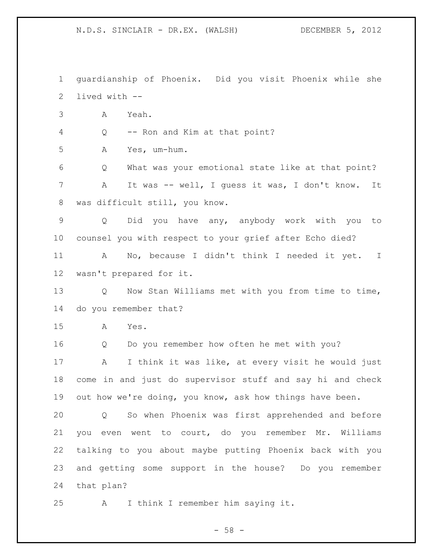guardianship of Phoenix. Did you visit Phoenix while she lived with -- A Yeah. Q -- Ron and Kim at that point? A Yes, um-hum. Q What was your emotional state like at that point? A It was -- well, I guess it was, I don't know. It was difficult still, you know. Q Did you have any, anybody work with you to counsel you with respect to your grief after Echo died? A No, because I didn't think I needed it yet. I wasn't prepared for it. 13 Q Now Stan Williams met with you from time to time, do you remember that? A Yes. Q Do you remember how often he met with you? A I think it was like, at every visit he would just come in and just do supervisor stuff and say hi and check out how we're doing, you know, ask how things have been. Q So when Phoenix was first apprehended and before you even went to court, do you remember Mr. Williams talking to you about maybe putting Phoenix back with you and getting some support in the house? Do you remember that plan? A I think I remember him saying it.

 $- 58 -$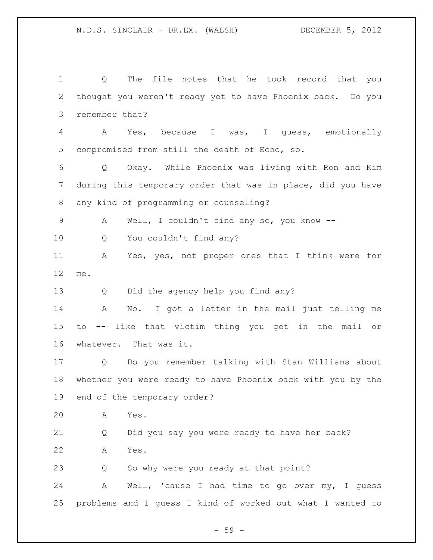Q The file notes that he took record that you thought you weren't ready yet to have Phoenix back. Do you remember that? A Yes, because I was, I guess, emotionally compromised from still the death of Echo, so. Q Okay. While Phoenix was living with Ron and Kim during this temporary order that was in place, did you have any kind of programming or counseling? A Well, I couldn't find any so, you know -- Q You couldn't find any? A Yes, yes, not proper ones that I think were for me. Q Did the agency help you find any? A No. I got a letter in the mail just telling me to -- like that victim thing you get in the mail or whatever. That was it. Q Do you remember talking with Stan Williams about whether you were ready to have Phoenix back with you by the end of the temporary order? A Yes. Q Did you say you were ready to have her back? A Yes. Q So why were you ready at that point? A Well, 'cause I had time to go over my, I guess problems and I guess I kind of worked out what I wanted to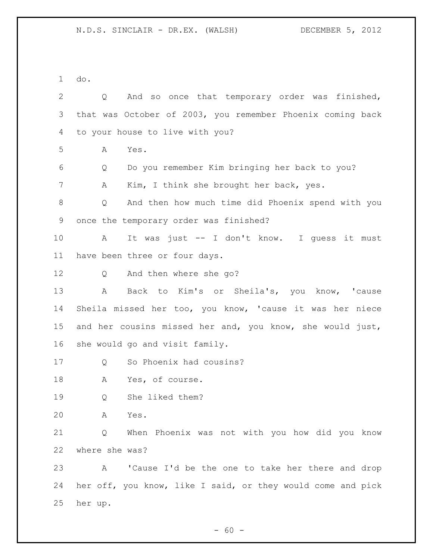do.

| $\mathbf{2}$ | And so once that temporary order was finished,<br>Q         |
|--------------|-------------------------------------------------------------|
| 3            | that was October of 2003, you remember Phoenix coming back  |
| 4            | to your house to live with you?                             |
| 5            | Yes.<br>A                                                   |
| 6            | Do you remember Kim bringing her back to you?<br>Q          |
| 7            | Kim, I think she brought her back, yes.<br>Α                |
| 8            | And then how much time did Phoenix spend with you<br>Q      |
| 9            | once the temporary order was finished?                      |
| 10           | It was just -- I don't know. I guess it must<br>A           |
| 11           | have been three or four days.                               |
| 12           | And then where she go?<br>Q                                 |
| 13           | $\mathbb A$<br>Back to Kim's or Sheila's, you know, 'cause  |
| 14           | Sheila missed her too, you know, 'cause it was her niece    |
| 15           | and her cousins missed her and, you know, she would just,   |
| 16           | she would go and visit family.                              |
| 17           | So Phoenix had cousins?<br>Q                                |
| 18           | Yes, of course.<br>Α                                        |
| 19           | She liked them?<br>Q                                        |
| 20           | Yes.<br>A                                                   |
| 21           | When Phoenix was not with you how did you know<br>Q         |
| 22           | where she was?                                              |
| 23           | 'Cause I'd be the one to take her there and drop<br>Α       |
| 24           | her off, you know, like I said, or they would come and pick |
| 25           | her up.                                                     |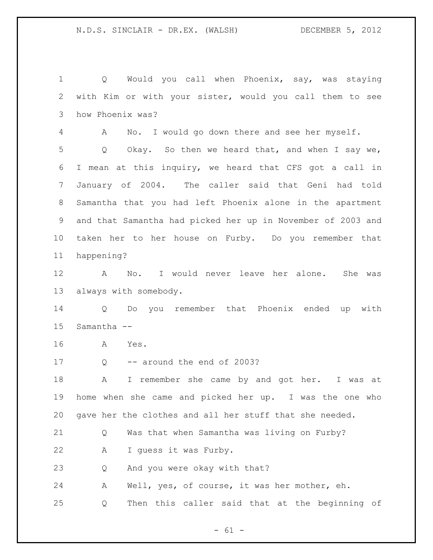Q Would you call when Phoenix, say, was staying with Kim or with your sister, would you call them to see how Phoenix was? A No. I would go down there and see her myself. Q Okay. So then we heard that, and when I say we, I mean at this inquiry, we heard that CFS got a call in January of 2004. The caller said that Geni had told Samantha that you had left Phoenix alone in the apartment and that Samantha had picked her up in November of 2003 and taken her to her house on Furby. Do you remember that happening? A No. I would never leave her alone. She was always with somebody. Q Do you remember that Phoenix ended up with Samantha -- A Yes. 17 Q -- around the end of 2003? A I remember she came by and got her. I was at home when she came and picked her up. I was the one who gave her the clothes and all her stuff that she needed. Q Was that when Samantha was living on Furby? A I guess it was Furby. Q And you were okay with that? A Well, yes, of course, it was her mother, eh. Q Then this caller said that at the beginning of

 $- 61 -$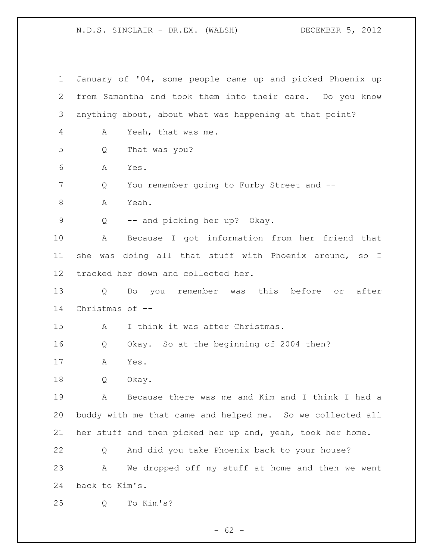January of '04, some people came up and picked Phoenix up from Samantha and took them into their care. Do you know anything about, about what was happening at that point? A Yeah, that was me. Q That was you? A Yes. Q You remember going to Furby Street and -- 8 A Yeah. Q -- and picking her up? Okay. A Because I got information from her friend that she was doing all that stuff with Phoenix around, so I tracked her down and collected her. Q Do you remember was this before or after Christmas of -- A I think it was after Christmas. Q Okay. So at the beginning of 2004 then? A Yes. Q Okay. A Because there was me and Kim and I think I had a buddy with me that came and helped me. So we collected all her stuff and then picked her up and, yeah, took her home. Q And did you take Phoenix back to your house? A We dropped off my stuff at home and then we went back to Kim's. Q To Kim's?

 $- 62 -$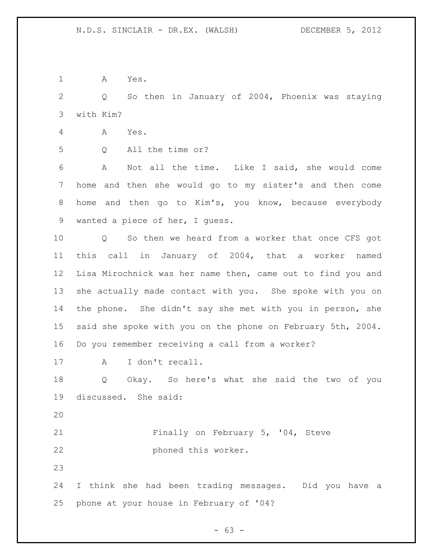A Yes.

 Q So then in January of 2004, Phoenix was staying with Kim?

- A Yes.
- Q All the time or?

 A Not all the time. Like I said, she would come home and then she would go to my sister's and then come home and then go to Kim's, you know, because everybody wanted a piece of her, I guess.

 Q So then we heard from a worker that once CFS got this call in January of 2004, that a worker named Lisa Mirochnick was her name then, came out to find you and she actually made contact with you. She spoke with you on the phone. She didn't say she met with you in person, she said she spoke with you on the phone on February 5th, 2004. Do you remember receiving a call from a worker?

17 A I don't recall.

 Q Okay. So here's what she said the two of you discussed. She said:

21 Finally on February 5, '04, Steve phoned this worker.

 I think she had been trading messages. Did you have a phone at your house in February of '04?

- 63 -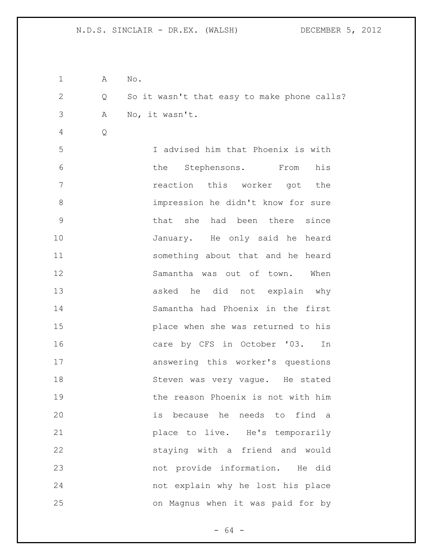| 1            | A                 | No.                                         |
|--------------|-------------------|---------------------------------------------|
| $\mathbf{2}$ | $Q \qquad \qquad$ | So it wasn't that easy to make phone calls? |
| 3            | A                 | No, it wasn't.                              |
| 4            | Q                 |                                             |
| 5            |                   | I advised him that Phoenix is with          |
| 6            |                   | the Stephensons. From<br>his                |
| 7            |                   | reaction this worker got the                |
| 8            |                   | impression he didn't know for sure          |
| 9            |                   | that she had been there since               |
| 10           |                   | January. He only said he heard              |
| 11           |                   | something about that and he heard           |
| 12           |                   | Samantha was out of town. When              |
| 13           |                   | asked he did not explain why                |
| 14           |                   | Samantha had Phoenix in the first           |
| 15           |                   | place when she was returned to his          |
| 16           |                   | care by CFS in October '03. In              |
| 17           |                   | answering this worker's questions           |
| 18           |                   | Steven was very vague. He stated            |
| 19           |                   | the reason Phoenix is not with him          |
| 20           |                   | is because he needs to find a               |
| 21           |                   | place to live. He's temporarily             |
| 22           |                   | staying with a friend and would             |
| 23           |                   | not provide information. He did             |
| 24           |                   | not explain why he lost his place           |
| 25           |                   | on Magnus when it was paid for by           |

- 64 -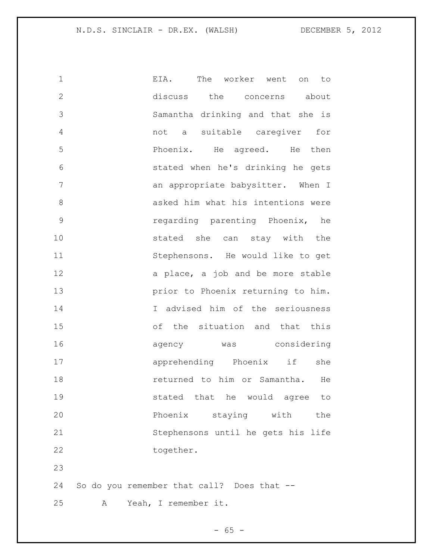| 1             | EIA. The worker went on to                 |
|---------------|--------------------------------------------|
| $\mathbf{2}$  | discuss the concerns about                 |
| 3             | Samantha drinking and that she is          |
| 4             | not a suitable caregiver<br>for            |
| 5             | Phoenix. He agreed. He then                |
| 6             | stated when he's drinking he gets          |
| 7             | an appropriate babysitter. When I          |
| 8             | asked him what his intentions were         |
| $\mathcal{G}$ | regarding parenting Phoenix, he            |
| 10            | stated she can stay with the               |
| 11            | Stephensons. He would like to get          |
| 12            | a place, a job and be more stable          |
| 13            | prior to Phoenix returning to him.         |
| 14            | I advised him of the seriousness           |
| 15            | of the situation and that this             |
| 16            | agency was considering                     |
| 17            | apprehending Phoenix if<br>she             |
| 18            | returned to him or Samantha. He            |
| 19            | stated that he would agree to              |
| 20            | Phoenix<br>staying with<br>the             |
| 21            | Stephensons until he gets his life         |
| 22            | together.                                  |
| 23            |                                            |
| 24            | So do you remember that call? Does that -- |

A Yeah, I remember it.

- 65 -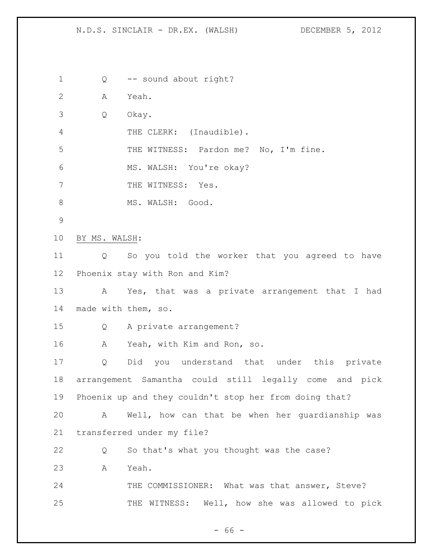Q -- sound about right? A Yeah. Q Okay. 4 THE CLERK: (Inaudible). THE WITNESS: Pardon me? No, I'm fine. MS. WALSH: You're okay? 7 THE WITNESS: Yes. 8 MS. WALSH: Good. BY MS. WALSH: Q So you told the worker that you agreed to have Phoenix stay with Ron and Kim? A Yes, that was a private arrangement that I had made with them, so. Q A private arrangement? A Yeah, with Kim and Ron, so. Q Did you understand that under this private arrangement Samantha could still legally come and pick Phoenix up and they couldn't stop her from doing that? A Well, how can that be when her guardianship was transferred under my file? Q So that's what you thought was the case? A Yeah. 24 THE COMMISSIONER: What was that answer, Steve? THE WITNESS: Well, how she was allowed to pick

- 66 -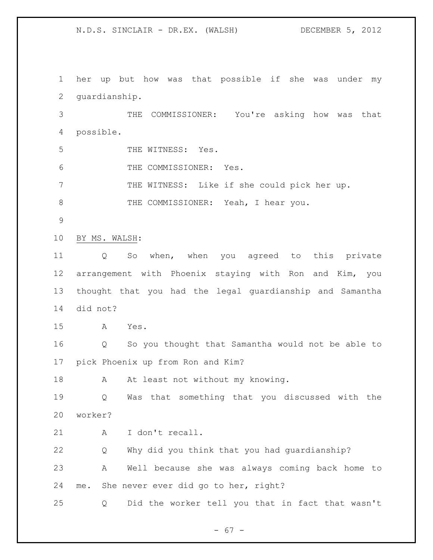her up but how was that possible if she was under my guardianship. THE COMMISSIONER: You're asking how was that possible. THE WITNESS: Yes. THE COMMISSIONER: Yes. THE WITNESS: Like if she could pick her up. 8 THE COMMISSIONER: Yeah, I hear you. BY MS. WALSH: Q So when, when you agreed to this private arrangement with Phoenix staying with Ron and Kim, you thought that you had the legal guardianship and Samantha did not? A Yes. Q So you thought that Samantha would not be able to pick Phoenix up from Ron and Kim? 18 A At least not without my knowing. Q Was that something that you discussed with the worker? 21 A I don't recall. Q Why did you think that you had guardianship? A Well because she was always coming back home to me. She never ever did go to her, right? Q Did the worker tell you that in fact that wasn't

- 67 -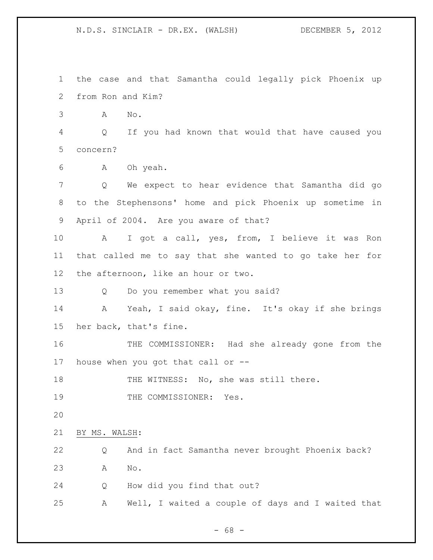the case and that Samantha could legally pick Phoenix up from Ron and Kim? A No. Q If you had known that would that have caused you concern? A Oh yeah. Q We expect to hear evidence that Samantha did go to the Stephensons' home and pick Phoenix up sometime in April of 2004. Are you aware of that? A I got a call, yes, from, I believe it was Ron that called me to say that she wanted to go take her for the afternoon, like an hour or two. Q Do you remember what you said? A Yeah, I said okay, fine. It's okay if she brings her back, that's fine. THE COMMISSIONER: Had she already gone from the house when you got that call or -- 18 THE WITNESS: No, she was still there. 19 THE COMMISSIONER: Yes. BY MS. WALSH: Q And in fact Samantha never brought Phoenix back? A No. Q How did you find that out? A Well, I waited a couple of days and I waited that

- 68 -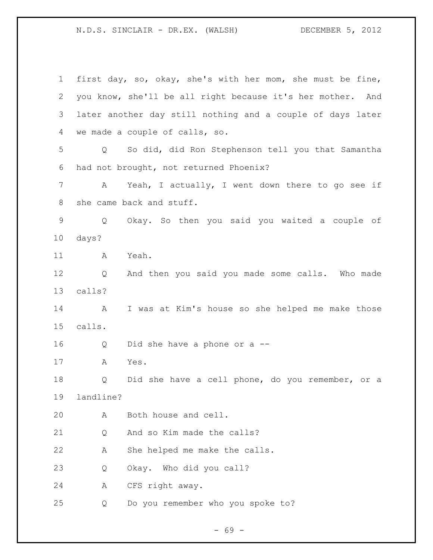first day, so, okay, she's with her mom, she must be fine, you know, she'll be all right because it's her mother. And later another day still nothing and a couple of days later we made a couple of calls, so. Q So did, did Ron Stephenson tell you that Samantha had not brought, not returned Phoenix? A Yeah, I actually, I went down there to go see if she came back and stuff. Q Okay. So then you said you waited a couple of days? A Yeah. Q And then you said you made some calls. Who made calls? A I was at Kim's house so she helped me make those calls. Q Did she have a phone or a -- A Yes. Q Did she have a cell phone, do you remember, or a landline? A Both house and cell. 21 O And so Kim made the calls? A She helped me make the calls. Q Okay. Who did you call? A CFS right away. Q Do you remember who you spoke to?

- 69 -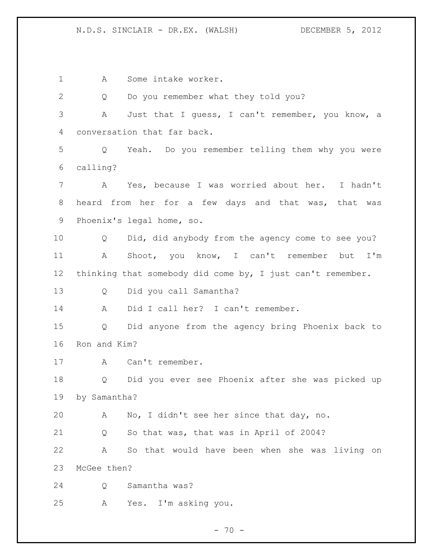1 A Some intake worker. Q Do you remember what they told you? A Just that I guess, I can't remember, you know, a conversation that far back. Q Yeah. Do you remember telling them why you were calling? A Yes, because I was worried about her. I hadn't heard from her for a few days and that was, that was Phoenix's legal home, so. Q Did, did anybody from the agency come to see you? A Shoot, you know, I can't remember but I'm thinking that somebody did come by, I just can't remember. Q Did you call Samantha? A Did I call her? I can't remember. Q Did anyone from the agency bring Phoenix back to Ron and Kim? 17 A Can't remember. Q Did you ever see Phoenix after she was picked up by Samantha? A No, I didn't see her since that day, no. Q So that was, that was in April of 2004? A So that would have been when she was living on McGee then? Q Samantha was? A Yes. I'm asking you.

 $- 70 -$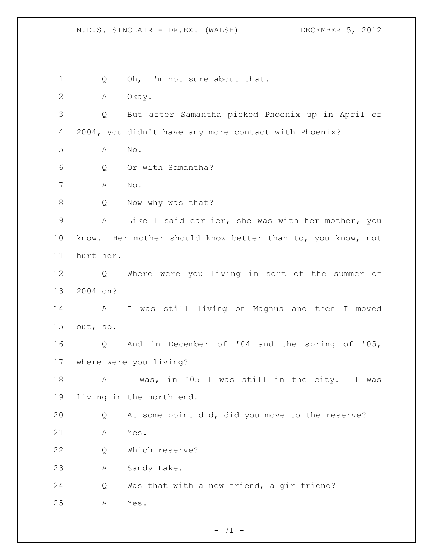1 Q Oh, I'm not sure about that. A Okay. Q But after Samantha picked Phoenix up in April of 2004, you didn't have any more contact with Phoenix? A No. Q Or with Samantha? A No. 8 Q Now why was that? A Like I said earlier, she was with her mother, you know. Her mother should know better than to, you know, not hurt her. Q Where were you living in sort of the summer of 2004 on? A I was still living on Magnus and then I moved out, so. Q And in December of '04 and the spring of '05, where were you living? A I was, in '05 I was still in the city. I was living in the north end. Q At some point did, did you move to the reserve? A Yes. Q Which reserve? A Sandy Lake. Q Was that with a new friend, a girlfriend? A Yes.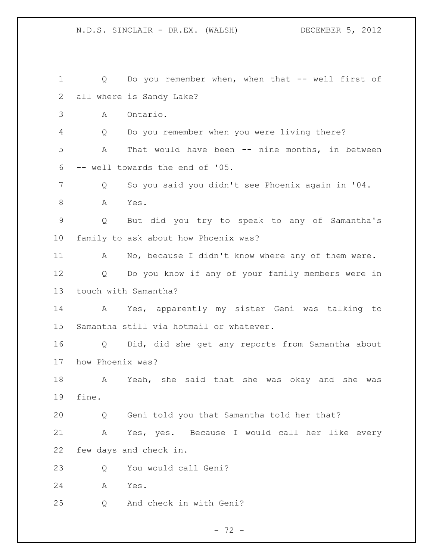Q Do you remember when, when that -- well first of all where is Sandy Lake? A Ontario. Q Do you remember when you were living there? A That would have been -- nine months, in between -- well towards the end of '05. Q So you said you didn't see Phoenix again in '04. 8 A Yes. Q But did you try to speak to any of Samantha's family to ask about how Phoenix was? 11 A No, because I didn't know where any of them were. Q Do you know if any of your family members were in touch with Samantha? A Yes, apparently my sister Geni was talking to Samantha still via hotmail or whatever. Q Did, did she get any reports from Samantha about how Phoenix was? A Yeah, she said that she was okay and she was fine. Q Geni told you that Samantha told her that? A Yes, yes. Because I would call her like every few days and check in. Q You would call Geni? A Yes. Q And check in with Geni?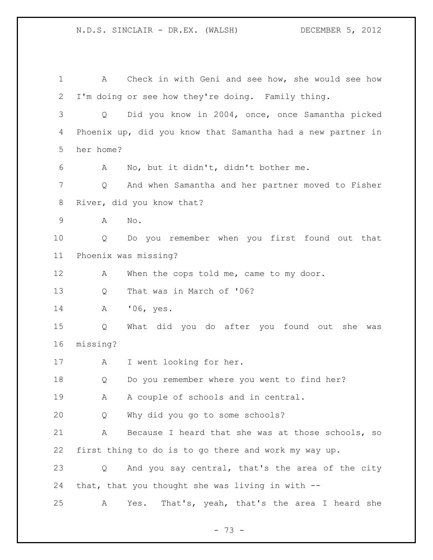N.D.S. SINCLAIR - DR.EX. (WALSH) DECEMBER 5, 2012 A Check in with Geni and see how, she would see how I'm doing or see how they're doing. Family thing. Q Did you know in 2004, once, once Samantha picked Phoenix up, did you know that Samantha had a new partner in her home? A No, but it didn't, didn't bother me. Q And when Samantha and her partner moved to Fisher River, did you know that? A No. Q Do you remember when you first found out that Phoenix was missing? 12 A When the cops told me, came to my door. Q That was in March of '06? A '06, yes. Q What did you do after you found out she was missing? A I went looking for her. Q Do you remember where you went to find her? 19 A A couple of schools and in central.

Q Why did you go to some schools?

 A Because I heard that she was at those schools, so first thing to do is to go there and work my way up.

 Q And you say central, that's the area of the city that, that you thought she was living in with --

A Yes. That's, yeah, that's the area I heard she

- 73 -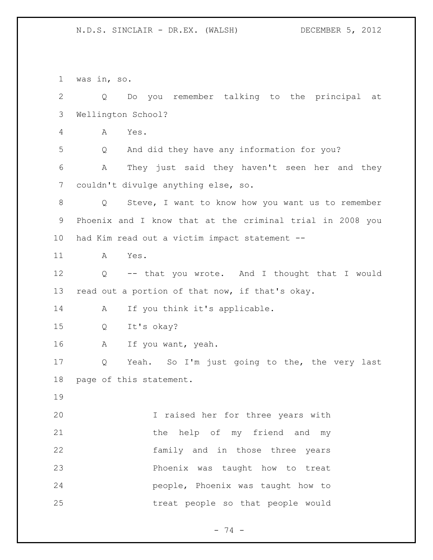was in, so. Q Do you remember talking to the principal at Wellington School? A Yes. Q And did they have any information for you? A They just said they haven't seen her and they couldn't divulge anything else, so. Q Steve, I want to know how you want us to remember Phoenix and I know that at the criminal trial in 2008 you had Kim read out a victim impact statement -- A Yes. Q -- that you wrote. And I thought that I would read out a portion of that now, if that's okay. A If you think it's applicable. Q It's okay? A If you want, yeah. Q Yeah. So I'm just going to the, the very last page of this statement. I raised her for three years with 21 the help of my friend and my family and in those three years Phoenix was taught how to treat people, Phoenix was taught how to treat people so that people would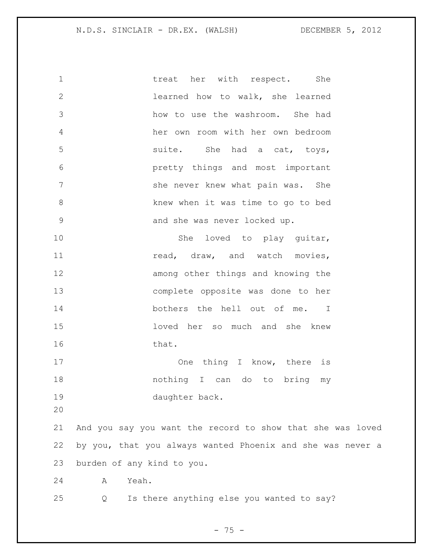## N.D.S. SINCLAIR - DR.EX. (WALSH) DECEMBER 5, 2012

| $\mathbf 1$   | treat her with respect.                                    |
|---------------|------------------------------------------------------------|
| $\mathbf{2}$  | learned how to walk, she learned                           |
| 3             | how to use the washroom. She had                           |
| 4             | her own room with her own bedroom                          |
| 5             | suite.                                                     |
| 6             | pretty things and most important                           |
| 7             | she never knew what pain was. She                          |
| $8\,$         | knew when it was time to go to bed                         |
| $\mathcal{G}$ | and she was never locked up.                               |
| 10            |                                                            |
| 11            | read, draw, and watch movies,                              |
| 12            | among other things and knowing the                         |
| 13            | complete opposite was done to her                          |
| 14            | bothers the hell out of me. I                              |
| 15            | loved her so much and she knew                             |
| 16            | that.                                                      |
| 17            |                                                            |
| 18            | nothing I can do to bring my                               |
| 19            | daughter back.                                             |
| 20            |                                                            |
| 21            | And you say you want the record to show that she was loved |
| 22            | by you, that you always wanted Phoenix and she was never a |
| 23            | burden of any kind to you.                                 |
| 24            | Yeah.<br>Α                                                 |
| 25            | Is there anything else you wanted to say?<br>$\circ$       |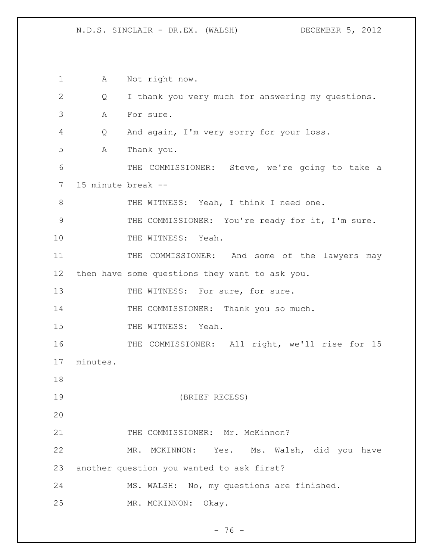N.D.S. SINCLAIR - DR.EX. (WALSH) DECEMBER 5, 2012

 A Not right now. Q I thank you very much for answering my questions. A For sure. Q And again, I'm very sorry for your loss. A Thank you. THE COMMISSIONER: Steve, we're going to take a 15 minute break -- 8 THE WITNESS: Yeah, I think I need one. THE COMMISSIONER: You're ready for it, I'm sure. 10 THE WITNESS: Yeah. THE COMMISSIONER: And some of the lawyers may then have some questions they want to ask you. 13 THE WITNESS: For sure, for sure. 14 THE COMMISSIONER: Thank you so much. 15 THE WITNESS: Yeah. 16 THE COMMISSIONER: All right, we'll rise for 15 minutes. (BRIEF RECESS) 21 THE COMMISSIONER: Mr. McKinnon? MR. MCKINNON: Yes. Ms. Walsh, did you have another question you wanted to ask first? MS. WALSH: No, my questions are finished. MR. MCKINNON: Okay.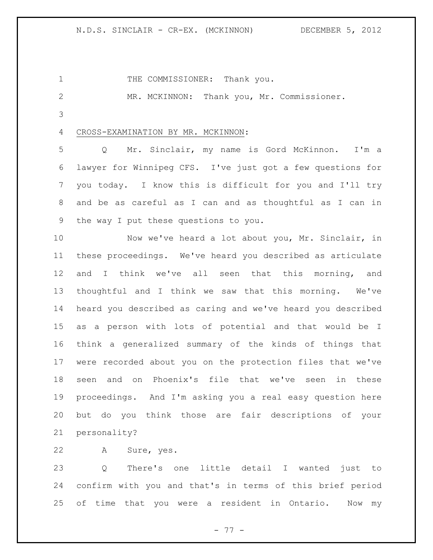N.D.S. SINCLAIR - CR-EX. (MCKINNON) DECEMBER 5, 2012

1 THE COMMISSIONER: Thank you.

MR. MCKINNON: Thank you, Mr. Commissioner.

## CROSS-EXAMINATION BY MR. MCKINNON:

 Q Mr. Sinclair, my name is Gord McKinnon. I'm a lawyer for Winnipeg CFS. I've just got a few questions for you today. I know this is difficult for you and I'll try and be as careful as I can and as thoughtful as I can in the way I put these questions to you.

 Now we've heard a lot about you, Mr. Sinclair, in these proceedings. We've heard you described as articulate and I think we've all seen that this morning, and thoughtful and I think we saw that this morning. We've heard you described as caring and we've heard you described as a person with lots of potential and that would be I think a generalized summary of the kinds of things that were recorded about you on the protection files that we've seen and on Phoenix's file that we've seen in these proceedings. And I'm asking you a real easy question here but do you think those are fair descriptions of your personality?

A Sure, yes.

 Q There's one little detail I wanted just to confirm with you and that's in terms of this brief period of time that you were a resident in Ontario. Now my

- 77 -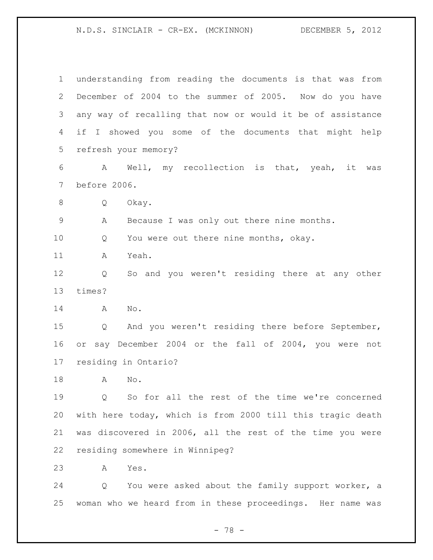understanding from reading the documents is that was from December of 2004 to the summer of 2005. Now do you have any way of recalling that now or would it be of assistance if I showed you some of the documents that might help refresh your memory? A Well, my recollection is that, yeah, it was before 2006. Q Okay. A Because I was only out there nine months. 10 Q You were out there nine months, okay. A Yeah. Q So and you weren't residing there at any other times? A No. Q And you weren't residing there before September, or say December 2004 or the fall of 2004, you were not residing in Ontario? A No. Q So for all the rest of the time we're concerned with here today, which is from 2000 till this tragic death was discovered in 2006, all the rest of the time you were residing somewhere in Winnipeg? A Yes.

 Q You were asked about the family support worker, a woman who we heard from in these proceedings. Her name was

- 78 -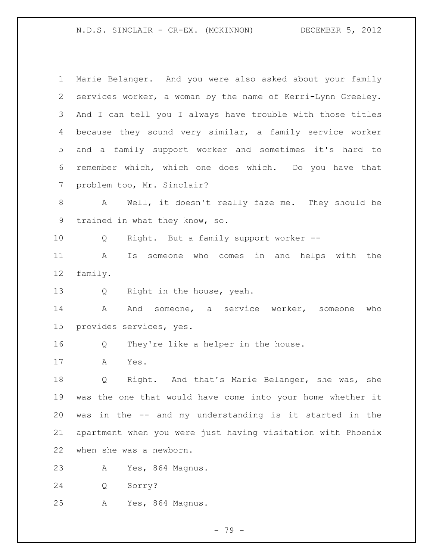N.D.S. SINCLAIR - CR-EX. (MCKINNON) DECEMBER 5, 2012

 Marie Belanger. And you were also asked about your family services worker, a woman by the name of Kerri-Lynn Greeley. And I can tell you I always have trouble with those titles because they sound very similar, a family service worker and a family support worker and sometimes it's hard to remember which, which one does which. Do you have that problem too, Mr. Sinclair? A Well, it doesn't really faze me. They should be trained in what they know, so. Q Right. But a family support worker -- A Is someone who comes in and helps with the family. Q Right in the house, yeah. 14 a And someone, a service worker, someone who provides services, yes. Q They're like a helper in the house. A Yes. Q Right. And that's Marie Belanger, she was, she was the one that would have come into your home whether it was in the -- and my understanding is it started in the apartment when you were just having visitation with Phoenix when she was a newborn. A Yes, 864 Magnus. Q Sorry? A Yes, 864 Magnus.

- 79 -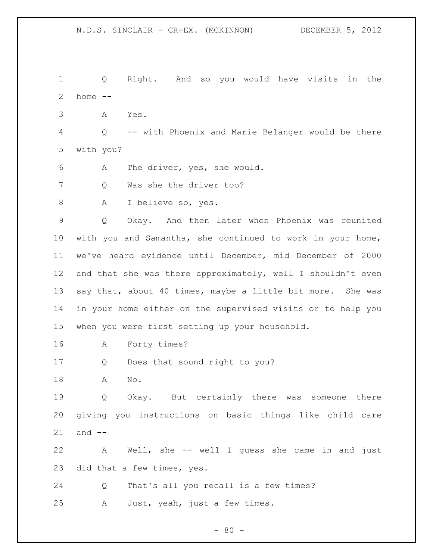Q Right. And so you would have visits in the home  $-$  A Yes. Q -- with Phoenix and Marie Belanger would be there with you? A The driver, yes, she would. Q Was she the driver too? A I believe so, yes. Q Okay. And then later when Phoenix was reunited with you and Samantha, she continued to work in your home, we've heard evidence until December, mid December of 2000 and that she was there approximately, well I shouldn't even say that, about 40 times, maybe a little bit more. She was in your home either on the supervised visits or to help you when you were first setting up your household. A Forty times? Q Does that sound right to you? A No. Q Okay. But certainly there was someone there giving you instructions on basic things like child care and -- A Well, she -- well I guess she came in and just did that a few times, yes. Q That's all you recall is a few times? A Just, yeah, just a few times.

 $- 80 -$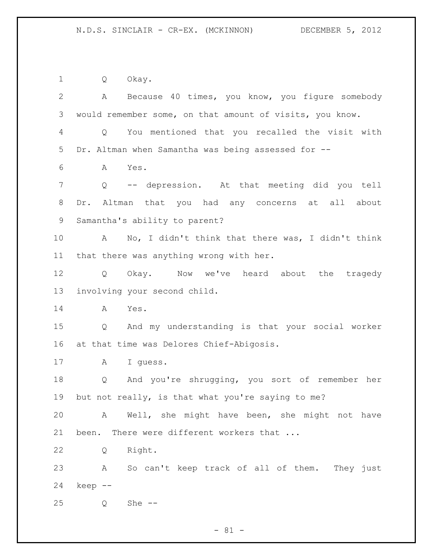Q Okay.

 A Because 40 times, you know, you figure somebody would remember some, on that amount of visits, you know. Q You mentioned that you recalled the visit with Dr. Altman when Samantha was being assessed for -- A Yes. Q -- depression. At that meeting did you tell Dr. Altman that you had any concerns at all about Samantha's ability to parent? A No, I didn't think that there was, I didn't think that there was anything wrong with her. Q Okay. Now we've heard about the tragedy involving your second child. A Yes. Q And my understanding is that your social worker at that time was Delores Chief-Abigosis. A I guess. Q And you're shrugging, you sort of remember her but not really, is that what you're saying to me? A Well, she might have been, she might not have been. There were different workers that ... Q Right. A So can't keep track of all of them. They just keep -- Q She --

 $- 81 -$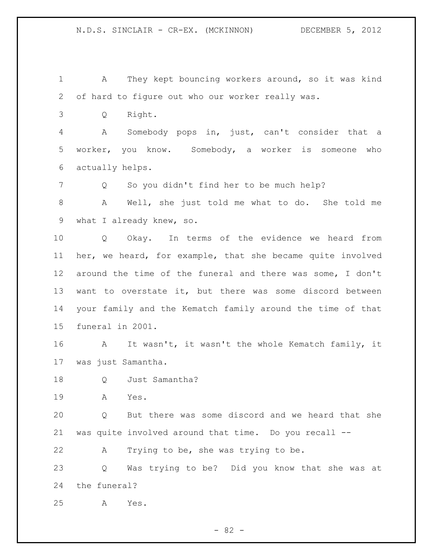A They kept bouncing workers around, so it was kind of hard to figure out who our worker really was.

Q Right.

 A Somebody pops in, just, can't consider that a worker, you know. Somebody, a worker is someone who actually helps.

Q So you didn't find her to be much help?

 A Well, she just told me what to do. She told me what I already knew, so.

 Q Okay. In terms of the evidence we heard from her, we heard, for example, that she became quite involved around the time of the funeral and there was some, I don't want to overstate it, but there was some discord between your family and the Kematch family around the time of that funeral in 2001.

16 A It wasn't, it wasn't the whole Kematch family, it was just Samantha.

Q Just Samantha?

A Yes.

 Q But there was some discord and we heard that she was quite involved around that time. Do you recall --

A Trying to be, she was trying to be.

 Q Was trying to be? Did you know that she was at the funeral?

A Yes.

- 82 -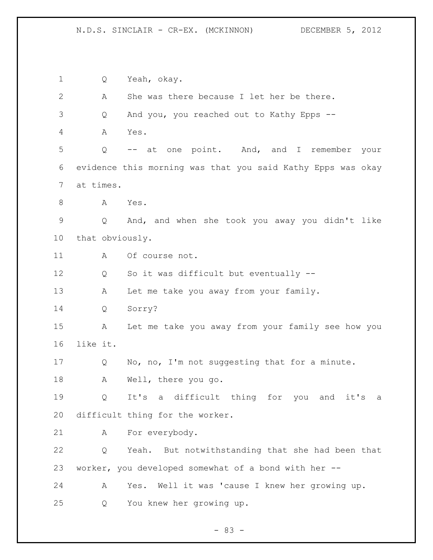Q Yeah, okay. A She was there because I let her be there. Q And you, you reached out to Kathy Epps -- A Yes. Q -- at one point. And, and I remember your evidence this morning was that you said Kathy Epps was okay at times. A Yes. Q And, and when she took you away you didn't like that obviously. 11 A Of course not. Q So it was difficult but eventually -- 13 A Let me take you away from your family. Q Sorry? A Let me take you away from your family see how you like it. 17 Q No, no, I'm not suggesting that for a minute. A Well, there you go. Q It's a difficult thing for you and it's a difficult thing for the worker. A For everybody. Q Yeah. But notwithstanding that she had been that worker, you developed somewhat of a bond with her -- A Yes. Well it was 'cause I knew her growing up. Q You knew her growing up.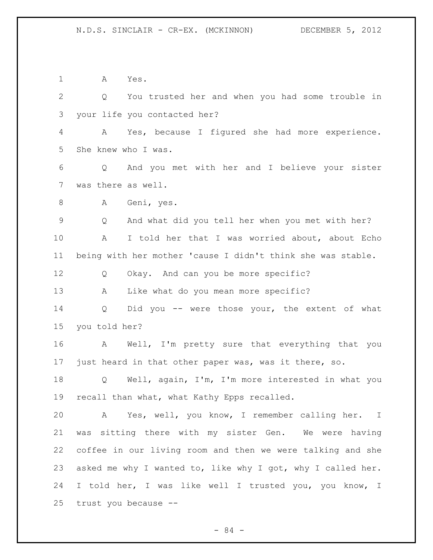A Yes. Q You trusted her and when you had some trouble in your life you contacted her? A Yes, because I figured she had more experience. She knew who I was. Q And you met with her and I believe your sister was there as well. A Geni, yes. Q And what did you tell her when you met with her? A I told her that I was worried about, about Echo being with her mother 'cause I didn't think she was stable. Q Okay. And can you be more specific? A Like what do you mean more specific? Q Did you -- were those your, the extent of what you told her? A Well, I'm pretty sure that everything that you just heard in that other paper was, was it there, so. Q Well, again, I'm, I'm more interested in what you recall than what, what Kathy Epps recalled. A Yes, well, you know, I remember calling her. I was sitting there with my sister Gen. We were having coffee in our living room and then we were talking and she asked me why I wanted to, like why I got, why I called her. I told her, I was like well I trusted you, you know, I trust you because --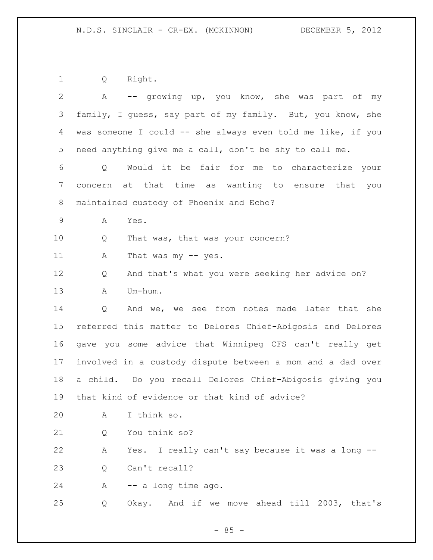Q Right.

| $\overline{2}$ | -- growing up, you know, she was part of my<br>A            |  |
|----------------|-------------------------------------------------------------|--|
| 3              | family, I guess, say part of my family. But, you know, she  |  |
| 4              | was someone I could -- she always even told me like, if you |  |
| 5              | need anything give me a call, don't be shy to call me.      |  |
| 6              | Would it be fair for me to characterize your<br>Q           |  |
| 7              | concern at that time as wanting to ensure that you          |  |
| 8              | maintained custody of Phoenix and Echo?                     |  |
| 9              | Yes.<br>Α                                                   |  |
| 10             | That was, that was your concern?<br>Q                       |  |
| 11             | Α<br>That was my $-$ yes.                                   |  |
| 12             | And that's what you were seeking her advice on?<br>Q        |  |
| 13             | Um-hum.<br>Α                                                |  |
| 14             | And we, we see from notes made later that she<br>Q          |  |
| 15             | referred this matter to Delores Chief-Abigosis and Delores  |  |
| 16             | gave you some advice that Winnipeg CFS can't really get     |  |
| 17             | involved in a custody dispute between a mom and a dad over  |  |
| 18             | a child. Do you recall Delores Chief-Abigosis giving you    |  |
| 19             | that kind of evidence or that kind of advice?               |  |
| 20             | I think so.<br>Α                                            |  |
| 21             | You think so?<br>Q                                          |  |
| 22             | Yes. I really can't say because it was a long --<br>Α       |  |
| 23             | Can't recall?<br>Q                                          |  |
| 24             | -- a long time ago.<br>A                                    |  |
| 25             | And if we move ahead till 2003, that's<br>Okay.<br>Q        |  |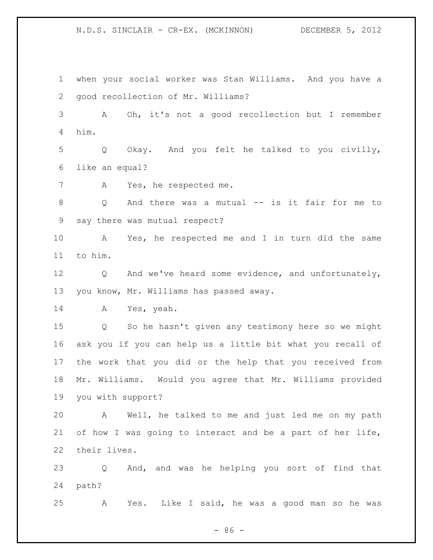N.D.S. SINCLAIR - CR-EX. (MCKINNON) DECEMBER 5, 2012

 when your social worker was Stan Williams. And you have a good recollection of Mr. Williams? A Oh, it's not a good recollection but I remember him. Q Okay. And you felt he talked to you civilly, like an equal? A Yes, he respected me. Q And there was a mutual -- is it fair for me to say there was mutual respect? A Yes, he respected me and I in turn did the same to him. Q And we've heard some evidence, and unfortunately, you know, Mr. Williams has passed away. A Yes, yeah. Q So he hasn't given any testimony here so we might ask you if you can help us a little bit what you recall of the work that you did or the help that you received from Mr. Williams. Would you agree that Mr. Williams provided you with support? A Well, he talked to me and just led me on my path of how I was going to interact and be a part of her life, their lives. Q And, and was he helping you sort of find that path? A Yes. Like I said, he was a good man so he was

- 86 -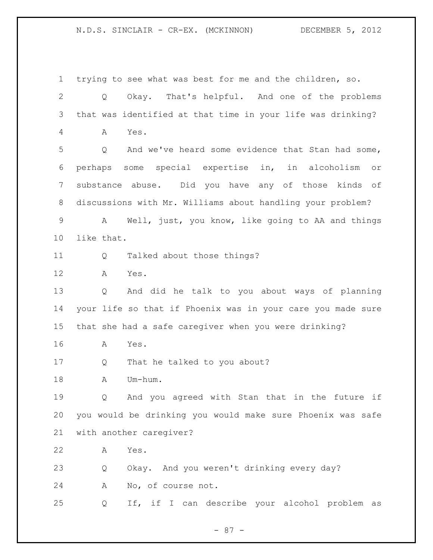trying to see what was best for me and the children, so. Q Okay. That's helpful. And one of the problems that was identified at that time in your life was drinking? A Yes. Q And we've heard some evidence that Stan had some, perhaps some special expertise in, in alcoholism or substance abuse. Did you have any of those kinds of discussions with Mr. Williams about handling your problem? A Well, just, you know, like going to AA and things like that. Q Talked about those things? A Yes. Q And did he talk to you about ways of planning your life so that if Phoenix was in your care you made sure that she had a safe caregiver when you were drinking? A Yes. Q That he talked to you about? 18 A Um-hum. Q And you agreed with Stan that in the future if you would be drinking you would make sure Phoenix was safe with another caregiver? A Yes. Q Okay. And you weren't drinking every day? A No, of course not. Q If, if I can describe your alcohol problem as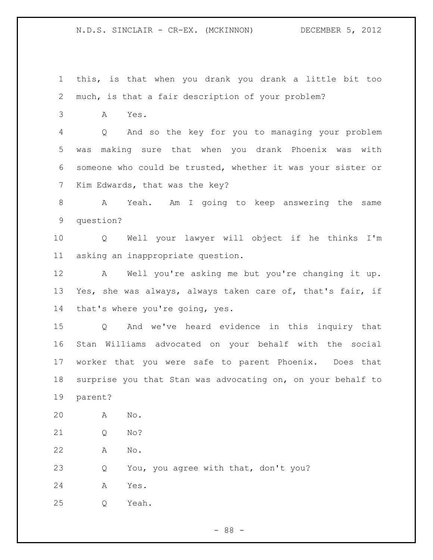this, is that when you drank you drank a little bit too much, is that a fair description of your problem?

A Yes.

 Q And so the key for you to managing your problem was making sure that when you drank Phoenix was with someone who could be trusted, whether it was your sister or Kim Edwards, that was the key?

 A Yeah. Am I going to keep answering the same question?

 Q Well your lawyer will object if he thinks I'm asking an inappropriate question.

 A Well you're asking me but you're changing it up. Yes, she was always, always taken care of, that's fair, if that's where you're going, yes.

 Q And we've heard evidence in this inquiry that Stan Williams advocated on your behalf with the social worker that you were safe to parent Phoenix. Does that surprise you that Stan was advocating on, on your behalf to parent?

 A No. Q No? A No. Q You, you agree with that, don't you? A Yes. Q Yeah.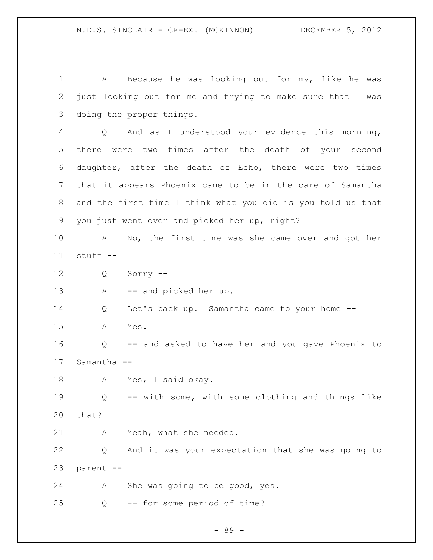A Because he was looking out for my, like he was just looking out for me and trying to make sure that I was doing the proper things.

 Q And as I understood your evidence this morning, there were two times after the death of your second daughter, after the death of Echo, there were two times that it appears Phoenix came to be in the care of Samantha and the first time I think what you did is you told us that you just went over and picked her up, right?

 A No, the first time was she came over and got her stuff --

Q Sorry --

13 A -- and picked her up.

Q Let's back up. Samantha came to your home --

A Yes.

 Q -- and asked to have her and you gave Phoenix to Samantha --

A Yes, I said okay.

 Q -- with some, with some clothing and things like that?

A Yeah, what she needed.

 Q And it was your expectation that she was going to parent --

A She was going to be good, yes.

Q -- for some period of time?

- 89 -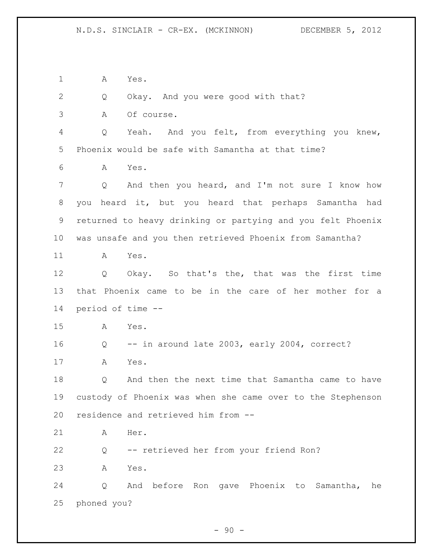A Yes.

 Q Okay. And you were good with that? A Of course. Q Yeah. And you felt, from everything you knew, Phoenix would be safe with Samantha at that time? A Yes. Q And then you heard, and I'm not sure I know how you heard it, but you heard that perhaps Samantha had returned to heavy drinking or partying and you felt Phoenix was unsafe and you then retrieved Phoenix from Samantha? A Yes. Q Okay. So that's the, that was the first time that Phoenix came to be in the care of her mother for a period of time -- A Yes. Q -- in around late 2003, early 2004, correct? A Yes. Q And then the next time that Samantha came to have custody of Phoenix was when she came over to the Stephenson residence and retrieved him from -- A Her. Q -- retrieved her from your friend Ron? A Yes. Q And before Ron gave Phoenix to Samantha, he phoned you?

 $-90 -$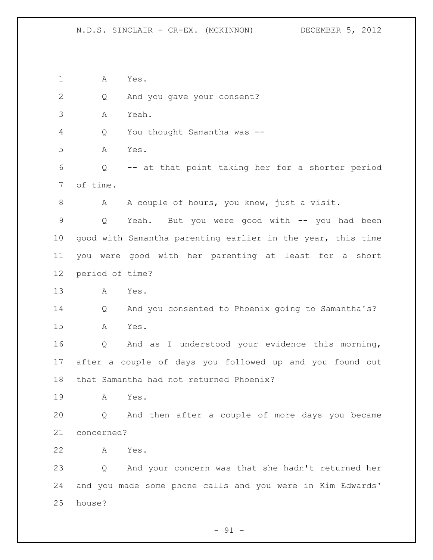A Yes. Q And you gave your consent? A Yeah. Q You thought Samantha was -- A Yes. Q -- at that point taking her for a shorter period of time. 8 A A couple of hours, you know, just a visit. Q Yeah. But you were good with -- you had been good with Samantha parenting earlier in the year, this time you were good with her parenting at least for a short period of time? A Yes. Q And you consented to Phoenix going to Samantha's? A Yes. Q And as I understood your evidence this morning, after a couple of days you followed up and you found out that Samantha had not returned Phoenix? A Yes. Q And then after a couple of more days you became concerned? A Yes. Q And your concern was that she hadn't returned her and you made some phone calls and you were in Kim Edwards' house?

 $-91 -$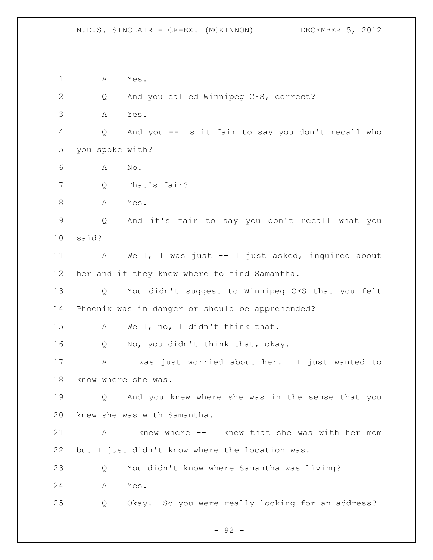A Yes. Q And you called Winnipeg CFS, correct? A Yes. Q And you -- is it fair to say you don't recall who you spoke with? A No. Q That's fair? 8 A Yes. Q And it's fair to say you don't recall what you said? A Well, I was just -- I just asked, inquired about her and if they knew where to find Samantha. Q You didn't suggest to Winnipeg CFS that you felt Phoenix was in danger or should be apprehended? A Well, no, I didn't think that. Q No, you didn't think that, okay. A I was just worried about her. I just wanted to know where she was. Q And you knew where she was in the sense that you knew she was with Samantha. A I knew where -- I knew that she was with her mom but I just didn't know where the location was. Q You didn't know where Samantha was living? A Yes. Q Okay. So you were really looking for an address?

- 92 -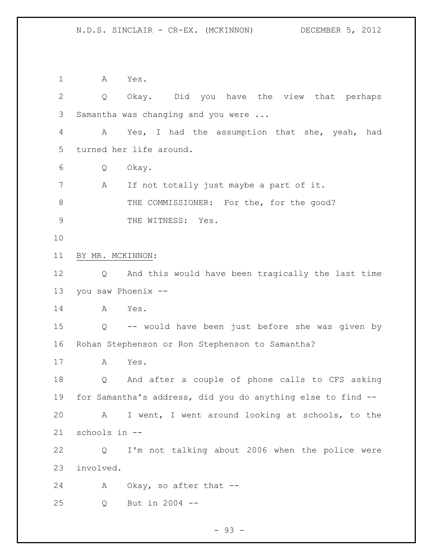A Yes. Q Okay. Did you have the view that perhaps Samantha was changing and you were ... A Yes, I had the assumption that she, yeah, had turned her life around. Q Okay. A If not totally just maybe a part of it. 8 THE COMMISSIONER: For the, for the good? 9 THE WITNESS: Yes. BY MR. MCKINNON: Q And this would have been tragically the last time you saw Phoenix -- A Yes. Q -- would have been just before she was given by Rohan Stephenson or Ron Stephenson to Samantha? A Yes. Q And after a couple of phone calls to CFS asking for Samantha's address, did you do anything else to find -- A I went, I went around looking at schools, to the schools in -- Q I'm not talking about 2006 when the police were involved. 24 A Okay, so after that --Q But in 2004 --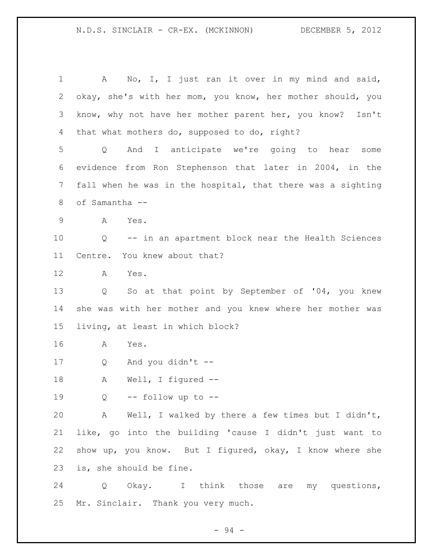1 A No, I, I just ran it over in my mind and said, okay, she's with her mom, you know, her mother should, you know, why not have her mother parent her, you know? Isn't that what mothers do, supposed to do, right? Q And I anticipate we're going to hear some evidence from Ron Stephenson that later in 2004, in the fall when he was in the hospital, that there was a sighting of Samantha -- A Yes. Q -- in an apartment block near the Health Sciences Centre. You knew about that? A Yes. Q So at that point by September of '04, you knew she was with her mother and you knew where her mother was living, at least in which block? A Yes. Q And you didn't -- A Well, I figured --  $Q = -$  follow up to  $-$  A Well, I walked by there a few times but I didn't, like, go into the building 'cause I didn't just want to show up, you know. But I figured, okay, I know where she is, she should be fine. Q Okay. I think those are my questions,

Mr. Sinclair. Thank you very much.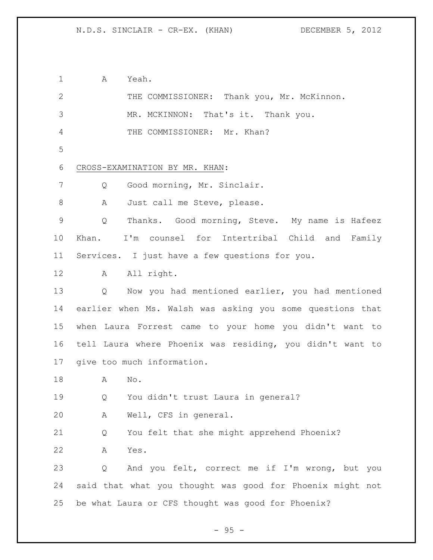A Yeah.

| $\mathbf{2}$  | THE COMMISSIONER: Thank you, Mr. McKinnon.                |  |  |
|---------------|-----------------------------------------------------------|--|--|
| $\mathcal{S}$ | MR. MCKINNON: That's it. Thank you.                       |  |  |
| 4             | THE COMMISSIONER: Mr. Khan?                               |  |  |
| 5             |                                                           |  |  |
| 6             | CROSS-EXAMINATION BY MR. KHAN:                            |  |  |
| 7             | Good morning, Mr. Sinclair.<br>Q                          |  |  |
| 8             | Just call me Steve, please.<br>A                          |  |  |
| $\mathsf 9$   | Thanks. Good morning, Steve. My name is Hafeez<br>Q       |  |  |
| 10            | I'm counsel for Intertribal Child and Family<br>Khan.     |  |  |
| 11            | Services. I just have a few questions for you.            |  |  |
| 12            | All right.<br>A                                           |  |  |
| 13            | Now you had mentioned earlier, you had mentioned<br>Q     |  |  |
| 14            | earlier when Ms. Walsh was asking you some questions that |  |  |
| 15            | when Laura Forrest came to your home you didn't want to   |  |  |
| 16            | tell Laura where Phoenix was residing, you didn't want to |  |  |
| 17            | give too much information.                                |  |  |
| 18            | Α<br>No.                                                  |  |  |
| 19            | You didn't trust Laura in general?<br>Q                   |  |  |
| 20            | Α<br>Well, CFS in general.                                |  |  |
| 21            | You felt that she might apprehend Phoenix?<br>Q           |  |  |
| 22            | Α<br>Yes.                                                 |  |  |
| 23            | And you felt, correct me if I'm wrong, but you<br>Q       |  |  |
| 24            | said that what you thought was good for Phoenix might not |  |  |
| 25            | be what Laura or CFS thought was good for Phoenix?        |  |  |

- 95 -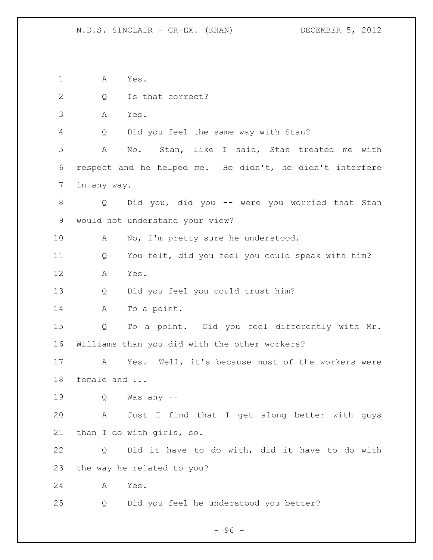A Yes. 2 Q Is that correct? A Yes. Q Did you feel the same way with Stan? A No. Stan, like I said, Stan treated me with respect and he helped me. He didn't, he didn't interfere in any way. Q Did you, did you -- were you worried that Stan would not understand your view? 10 A No, I'm pretty sure he understood. Q You felt, did you feel you could speak with him? A Yes. Q Did you feel you could trust him? A To a point. Q To a point. Did you feel differently with Mr. Williams than you did with the other workers? A Yes. Well, it's because most of the workers were female and ... Q Was any -- A Just I find that I get along better with guys than I do with girls, so. Q Did it have to do with, did it have to do with the way he related to you? A Yes. Q Did you feel he understood you better?

- 96 -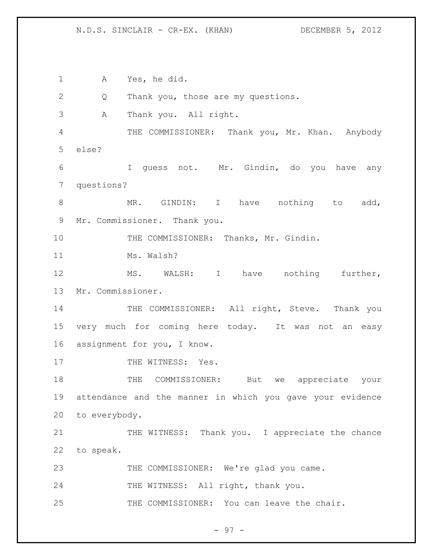N.D.S. SINCLAIR - CR-EX. (KHAN) DECEMBER 5, 2012

1 A Yes, he did. 2 Q Thank you, those are my questions. 3 A Thank you. All right. 4 THE COMMISSIONER: Thank you, Mr. Khan. Anybody 5 else? 6 I guess not. Mr. Gindin, do you have any 7 questions? 8 MR. GINDIN: I have nothing to add, 9 Mr. Commissioner. Thank you. 10 THE COMMISSIONER: Thanks, Mr. Gindin. 11 Ms. Walsh? 12 MS. WALSH: I have nothing further, 13 Mr. Commissioner. 14 THE COMMISSIONER: All right, Steve. Thank you 15 very much for coming here today. It was not an easy 16 assignment for you, I know. 17 THE WITNESS: Yes. 18 THE COMMISSIONER: But we appreciate your 19 attendance and the manner in which you gave your evidence 20 to everybody. 21 THE WITNESS: Thank you. I appreciate the chance 22 to speak. 23 THE COMMISSIONER: We're glad you came. 24 THE WITNESS: All right, thank you. 25 THE COMMISSIONER: You can leave the chair.

- 97 -